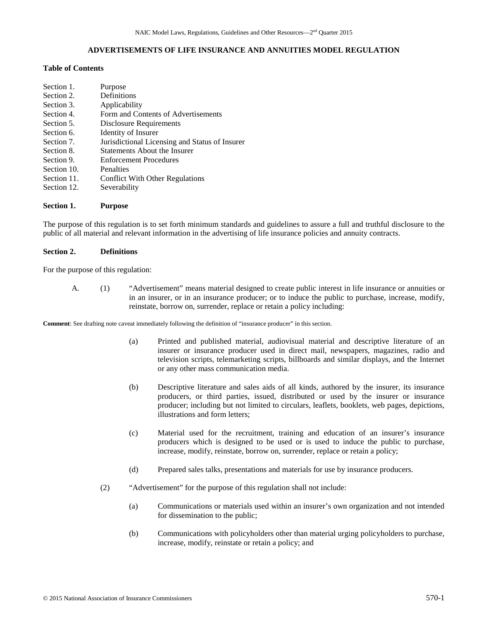## **Table of Contents**

| Section 1.  | Purpose                                        |
|-------------|------------------------------------------------|
| Section 2.  | Definitions                                    |
| Section 3.  | Applicability                                  |
| Section 4.  | Form and Contents of Advertisements            |
| Section 5.  | Disclosure Requirements                        |
| Section 6.  | Identity of Insurer                            |
| Section 7.  | Jurisdictional Licensing and Status of Insurer |
| Section 8.  | <b>Statements About the Insurer</b>            |
| Section 9.  | <b>Enforcement Procedures</b>                  |
| Section 10. | Penalties                                      |
| Section 11. | Conflict With Other Regulations                |
| Section 12. | Severability                                   |
|             |                                                |

## **Section 1. Purpose**

The purpose of this regulation is to set forth minimum standards and guidelines to assure a full and truthful disclosure to the public of all material and relevant information in the advertising of life insurance policies and annuity contracts.

#### **Section 2. Definitions**

For the purpose of this regulation:

A. (1) "Advertisement" means material designed to create public interest in life insurance or annuities or in an insurer, or in an insurance producer; or to induce the public to purchase, increase, modify, reinstate, borrow on, surrender, replace or retain a policy including:

**Comment**: See drafting note caveat immediately following the definition of "insurance producer" in this section.

- (a) Printed and published material, audiovisual material and descriptive literature of an insurer or insurance producer used in direct mail, newspapers, magazines, radio and television scripts, telemarketing scripts, billboards and similar displays, and the Internet or any other mass communication media.
- (b) Descriptive literature and sales aids of all kinds, authored by the insurer, its insurance producers, or third parties, issued, distributed or used by the insurer or insurance producer; including but not limited to circulars, leaflets, booklets, web pages, depictions, illustrations and form letters;
- (c) Material used for the recruitment, training and education of an insurer's insurance producers which is designed to be used or is used to induce the public to purchase, increase, modify, reinstate, borrow on, surrender, replace or retain a policy;
- (d) Prepared sales talks, presentations and materials for use by insurance producers.
- (2) "Advertisement" for the purpose of this regulation shall not include:
	- (a) Communications or materials used within an insurer's own organization and not intended for dissemination to the public;
	- (b) Communications with policyholders other than material urging policyholders to purchase, increase, modify, reinstate or retain a policy; and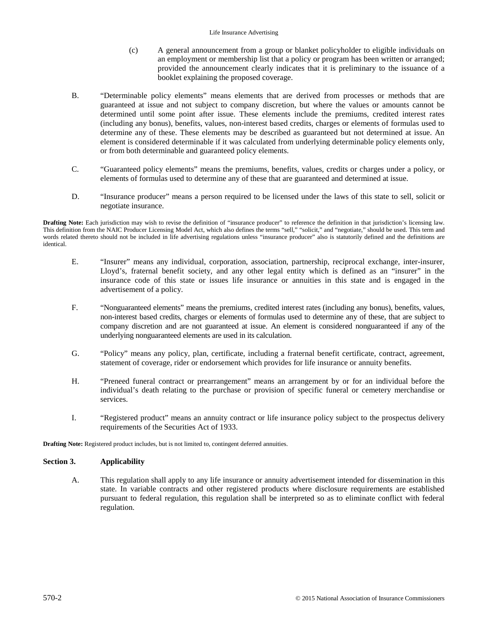- (c) A general announcement from a group or blanket policyholder to eligible individuals on an employment or membership list that a policy or program has been written or arranged; provided the announcement clearly indicates that it is preliminary to the issuance of a booklet explaining the proposed coverage.
- B. "Determinable policy elements" means elements that are derived from processes or methods that are guaranteed at issue and not subject to company discretion, but where the values or amounts cannot be determined until some point after issue. These elements include the premiums, credited interest rates (including any bonus), benefits, values, non-interest based credits, charges or elements of formulas used to determine any of these. These elements may be described as guaranteed but not determined at issue. An element is considered determinable if it was calculated from underlying determinable policy elements only, or from both determinable and guaranteed policy elements.
- C. "Guaranteed policy elements" means the premiums, benefits, values, credits or charges under a policy, or elements of formulas used to determine any of these that are guaranteed and determined at issue.
- D. "Insurance producer" means a person required to be licensed under the laws of this state to sell, solicit or negotiate insurance.

**Drafting Note:** Each jurisdiction may wish to revise the definition of "insurance producer" to reference the definition in that jurisdiction's licensing law. This definition from the NAIC Producer Licensing Model Act, which also defines the terms "sell," "solicit," and "negotiate," should be used. This term and words related thereto should not be included in life advertising regulations unless "insurance producer" also is statutorily defined and the definitions are identical.

- E. "Insurer" means any individual, corporation, association, partnership, reciprocal exchange, inter-insurer, Lloyd's, fraternal benefit society, and any other legal entity which is defined as an "insurer" in the insurance code of this state or issues life insurance or annuities in this state and is engaged in the advertisement of a policy.
- F. "Nonguaranteed elements" means the premiums, credited interest rates (including any bonus), benefits, values, non-interest based credits, charges or elements of formulas used to determine any of these, that are subject to company discretion and are not guaranteed at issue. An element is considered nonguaranteed if any of the underlying nonguaranteed elements are used in its calculation.
- G. "Policy" means any policy, plan, certificate, including a fraternal benefit certificate, contract, agreement, statement of coverage, rider or endorsement which provides for life insurance or annuity benefits.
- H. "Preneed funeral contract or prearrangement" means an arrangement by or for an individual before the individual's death relating to the purchase or provision of specific funeral or cemetery merchandise or services.
- I. "Registered product" means an annuity contract or life insurance policy subject to the prospectus delivery requirements of the Securities Act of 1933.

**Drafting Note:** Registered product includes, but is not limited to, contingent deferred annuities.

## **Section 3. Applicability**

A. This regulation shall apply to any life insurance or annuity advertisement intended for dissemination in this state. In variable contracts and other registered products where disclosure requirements are established pursuant to federal regulation, this regulation shall be interpreted so as to eliminate conflict with federal regulation.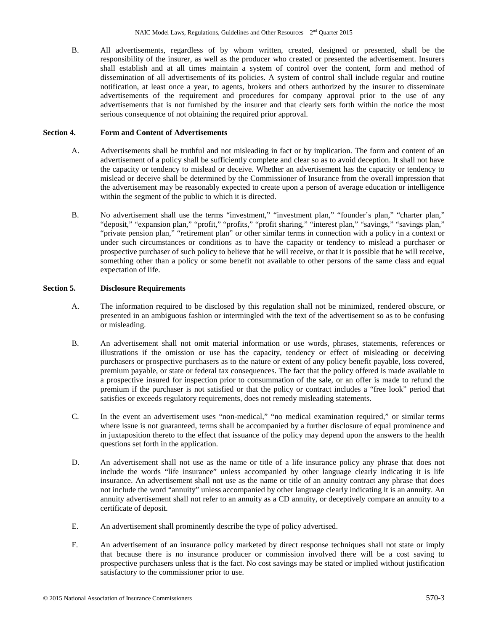B. All advertisements, regardless of by whom written, created, designed or presented, shall be the responsibility of the insurer, as well as the producer who created or presented the advertisement. Insurers shall establish and at all times maintain a system of control over the content, form and method of dissemination of all advertisements of its policies. A system of control shall include regular and routine notification, at least once a year, to agents, brokers and others authorized by the insurer to disseminate advertisements of the requirement and procedures for company approval prior to the use of any advertisements that is not furnished by the insurer and that clearly sets forth within the notice the most serious consequence of not obtaining the required prior approval.

## **Section 4. Form and Content of Advertisements**

- A. Advertisements shall be truthful and not misleading in fact or by implication. The form and content of an advertisement of a policy shall be sufficiently complete and clear so as to avoid deception. It shall not have the capacity or tendency to mislead or deceive. Whether an advertisement has the capacity or tendency to mislead or deceive shall be determined by the Commissioner of Insurance from the overall impression that the advertisement may be reasonably expected to create upon a person of average education or intelligence within the segment of the public to which it is directed.
- B. No advertisement shall use the terms "investment," "investment plan," "founder's plan," "charter plan," "deposit," "expansion plan," "profit," "profits," "profit sharing," "interest plan," "savings," "savings plan," "private pension plan," "retirement plan" or other similar terms in connection with a policy in a context or under such circumstances or conditions as to have the capacity or tendency to mislead a purchaser or prospective purchaser of such policy to believe that he will receive, or that it is possible that he will receive, something other than a policy or some benefit not available to other persons of the same class and equal expectation of life.

## **Section 5. Disclosure Requirements**

- A. The information required to be disclosed by this regulation shall not be minimized, rendered obscure, or presented in an ambiguous fashion or intermingled with the text of the advertisement so as to be confusing or misleading.
- B. An advertisement shall not omit material information or use words, phrases, statements, references or illustrations if the omission or use has the capacity, tendency or effect of misleading or deceiving purchasers or prospective purchasers as to the nature or extent of any policy benefit payable, loss covered, premium payable, or state or federal tax consequences. The fact that the policy offered is made available to a prospective insured for inspection prior to consummation of the sale, or an offer is made to refund the premium if the purchaser is not satisfied or that the policy or contract includes a "free look" period that satisfies or exceeds regulatory requirements, does not remedy misleading statements.
- C. In the event an advertisement uses "non-medical," "no medical examination required," or similar terms where issue is not guaranteed, terms shall be accompanied by a further disclosure of equal prominence and in juxtaposition thereto to the effect that issuance of the policy may depend upon the answers to the health questions set forth in the application.
- D. An advertisement shall not use as the name or title of a life insurance policy any phrase that does not include the words "life insurance" unless accompanied by other language clearly indicating it is life insurance. An advertisement shall not use as the name or title of an annuity contract any phrase that does not include the word "annuity" unless accompanied by other language clearly indicating it is an annuity. An annuity advertisement shall not refer to an annuity as a CD annuity, or deceptively compare an annuity to a certificate of deposit.
- E. An advertisement shall prominently describe the type of policy advertised.
- F. An advertisement of an insurance policy marketed by direct response techniques shall not state or imply that because there is no insurance producer or commission involved there will be a cost saving to prospective purchasers unless that is the fact. No cost savings may be stated or implied without justification satisfactory to the commissioner prior to use.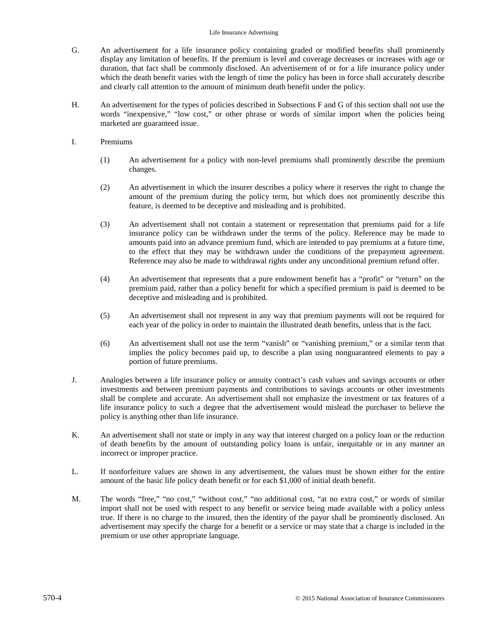#### Life Insurance Advertising

- G. An advertisement for a life insurance policy containing graded or modified benefits shall prominently display any limitation of benefits. If the premium is level and coverage decreases or increases with age or duration, that fact shall be commonly disclosed. An advertisement of or for a life insurance policy under which the death benefit varies with the length of time the policy has been in force shall accurately describe and clearly call attention to the amount of minimum death benefit under the policy.
- H. An advertisement for the types of policies described in Subsections F and G of this section shall not use the words "inexpensive," "low cost," or other phrase or words of similar import when the policies being marketed are guaranteed issue.
- I. Premiums
	- (1) An advertisement for a policy with non-level premiums shall prominently describe the premium changes.
	- (2) An advertisement in which the insurer describes a policy where it reserves the right to change the amount of the premium during the policy term, but which does not prominently describe this feature, is deemed to be deceptive and misleading and is prohibited.
	- (3) An advertisement shall not contain a statement or representation that premiums paid for a life insurance policy can be withdrawn under the terms of the policy. Reference may be made to amounts paid into an advance premium fund, which are intended to pay premiums at a future time, to the effect that they may be withdrawn under the conditions of the prepayment agreement. Reference may also be made to withdrawal rights under any unconditional premium refund offer.
	- (4) An advertisement that represents that a pure endowment benefit has a "profit" or "return" on the premium paid, rather than a policy benefit for which a specified premium is paid is deemed to be deceptive and misleading and is prohibited.
	- (5) An advertisement shall not represent in any way that premium payments will not be required for each year of the policy in order to maintain the illustrated death benefits, unless that is the fact.
	- (6) An advertisement shall not use the term "vanish" or "vanishing premium," or a similar term that implies the policy becomes paid up, to describe a plan using nonguaranteed elements to pay a portion of future premiums.
- J. Analogies between a life insurance policy or annuity contract's cash values and savings accounts or other investments and between premium payments and contributions to savings accounts or other investments shall be complete and accurate. An advertisement shall not emphasize the investment or tax features of a life insurance policy to such a degree that the advertisement would mislead the purchaser to believe the policy is anything other than life insurance.
- K. An advertisement shall not state or imply in any way that interest charged on a policy loan or the reduction of death benefits by the amount of outstanding policy loans is unfair, inequitable or in any manner an incorrect or improper practice.
- L. If nonforfeiture values are shown in any advertisement, the values must be shown either for the entire amount of the basic life policy death benefit or for each \$1,000 of initial death benefit.
- M. The words "free," "no cost," "without cost," "no additional cost, "at no extra cost," or words of similar import shall not be used with respect to any benefit or service being made available with a policy unless true. If there is no charge to the insured, then the identity of the payor shall be prominently disclosed. An advertisement may specify the charge for a benefit or a service or may state that a charge is included in the premium or use other appropriate language.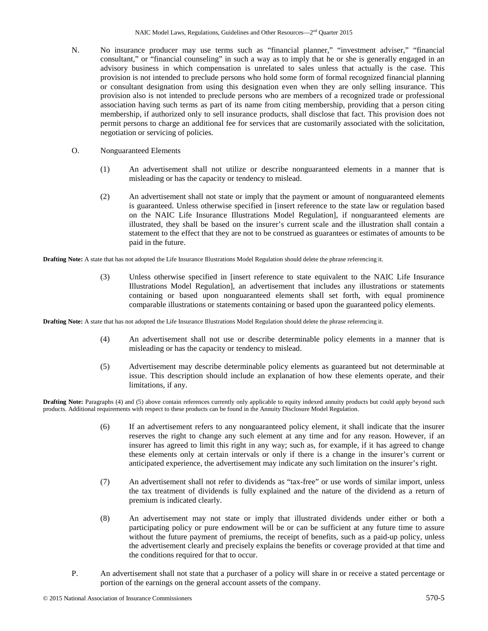- N. No insurance producer may use terms such as "financial planner," "investment adviser," "financial consultant," or "financial counseling" in such a way as to imply that he or she is generally engaged in an advisory business in which compensation is unrelated to sales unless that actually is the case. This provision is not intended to preclude persons who hold some form of formal recognized financial planning or consultant designation from using this designation even when they are only selling insurance. This provision also is not intended to preclude persons who are members of a recognized trade or professional association having such terms as part of its name from citing membership, providing that a person citing membership, if authorized only to sell insurance products, shall disclose that fact. This provision does not permit persons to charge an additional fee for services that are customarily associated with the solicitation, negotiation or servicing of policies.
- O. Nonguaranteed Elements
	- (1) An advertisement shall not utilize or describe nonguaranteed elements in a manner that is misleading or has the capacity or tendency to mislead.
	- (2) An advertisement shall not state or imply that the payment or amount of nonguaranteed elements is guaranteed. Unless otherwise specified in [insert reference to the state law or regulation based on the NAIC Life Insurance Illustrations Model Regulation], if nonguaranteed elements are illustrated, they shall be based on the insurer's current scale and the illustration shall contain a statement to the effect that they are not to be construed as guarantees or estimates of amounts to be paid in the future.

**Drafting Note:** A state that has not adopted the Life Insurance Illustrations Model Regulation should delete the phrase referencing it.

(3) Unless otherwise specified in [insert reference to state equivalent to the NAIC Life Insurance Illustrations Model Regulation], an advertisement that includes any illustrations or statements containing or based upon nonguaranteed elements shall set forth, with equal prominence comparable illustrations or statements containing or based upon the guaranteed policy elements.

**Drafting Note:** A state that has not adopted the Life Insurance Illustrations Model Regulation should delete the phrase referencing it.

- (4) An advertisement shall not use or describe determinable policy elements in a manner that is misleading or has the capacity or tendency to mislead.
- (5) Advertisement may describe determinable policy elements as guaranteed but not determinable at issue. This description should include an explanation of how these elements operate, and their limitations, if any.

**Drafting Note:** Paragraphs (4) and (5) above contain references currently only applicable to equity indexed annuity products but could apply beyond such products. Additional requirements with respect to these products can be found in the Annuity Disclosure Model Regulation.

- (6) If an advertisement refers to any nonguaranteed policy element, it shall indicate that the insurer reserves the right to change any such element at any time and for any reason. However, if an insurer has agreed to limit this right in any way; such as, for example, if it has agreed to change these elements only at certain intervals or only if there is a change in the insurer's current or anticipated experience, the advertisement may indicate any such limitation on the insurer's right.
- (7) An advertisement shall not refer to dividends as "tax-free" or use words of similar import, unless the tax treatment of dividends is fully explained and the nature of the dividend as a return of premium is indicated clearly.
- (8) An advertisement may not state or imply that illustrated dividends under either or both a participating policy or pure endowment will be or can be sufficient at any future time to assure without the future payment of premiums, the receipt of benefits, such as a paid-up policy, unless the advertisement clearly and precisely explains the benefits or coverage provided at that time and the conditions required for that to occur.
- P. An advertisement shall not state that a purchaser of a policy will share in or receive a stated percentage or portion of the earnings on the general account assets of the company.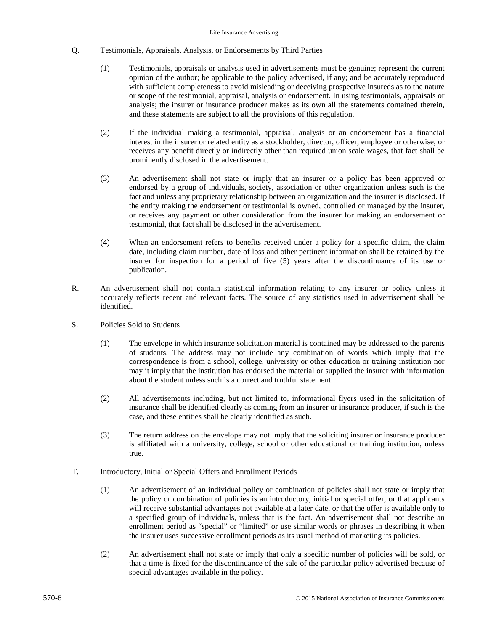- Q. Testimonials, Appraisals, Analysis, or Endorsements by Third Parties
	- (1) Testimonials, appraisals or analysis used in advertisements must be genuine; represent the current opinion of the author; be applicable to the policy advertised, if any; and be accurately reproduced with sufficient completeness to avoid misleading or deceiving prospective insureds as to the nature or scope of the testimonial, appraisal, analysis or endorsement. In using testimonials, appraisals or analysis; the insurer or insurance producer makes as its own all the statements contained therein, and these statements are subject to all the provisions of this regulation.
	- (2) If the individual making a testimonial, appraisal, analysis or an endorsement has a financial interest in the insurer or related entity as a stockholder, director, officer, employee or otherwise, or receives any benefit directly or indirectly other than required union scale wages, that fact shall be prominently disclosed in the advertisement.
	- (3) An advertisement shall not state or imply that an insurer or a policy has been approved or endorsed by a group of individuals, society, association or other organization unless such is the fact and unless any proprietary relationship between an organization and the insurer is disclosed. If the entity making the endorsement or testimonial is owned, controlled or managed by the insurer, or receives any payment or other consideration from the insurer for making an endorsement or testimonial, that fact shall be disclosed in the advertisement.
	- (4) When an endorsement refers to benefits received under a policy for a specific claim, the claim date, including claim number, date of loss and other pertinent information shall be retained by the insurer for inspection for a period of five (5) years after the discontinuance of its use or publication.
- R. An advertisement shall not contain statistical information relating to any insurer or policy unless it accurately reflects recent and relevant facts. The source of any statistics used in advertisement shall be identified.
- S. Policies Sold to Students
	- (1) The envelope in which insurance solicitation material is contained may be addressed to the parents of students. The address may not include any combination of words which imply that the correspondence is from a school, college, university or other education or training institution nor may it imply that the institution has endorsed the material or supplied the insurer with information about the student unless such is a correct and truthful statement.
	- (2) All advertisements including, but not limited to, informational flyers used in the solicitation of insurance shall be identified clearly as coming from an insurer or insurance producer, if such is the case, and these entities shall be clearly identified as such.
	- (3) The return address on the envelope may not imply that the soliciting insurer or insurance producer is affiliated with a university, college, school or other educational or training institution, unless true.
- T. Introductory, Initial or Special Offers and Enrollment Periods
	- (1) An advertisement of an individual policy or combination of policies shall not state or imply that the policy or combination of policies is an introductory, initial or special offer, or that applicants will receive substantial advantages not available at a later date, or that the offer is available only to a specified group of individuals, unless that is the fact. An advertisement shall not describe an enrollment period as "special" or "limited" or use similar words or phrases in describing it when the insurer uses successive enrollment periods as its usual method of marketing its policies.
	- (2) An advertisement shall not state or imply that only a specific number of policies will be sold, or that a time is fixed for the discontinuance of the sale of the particular policy advertised because of special advantages available in the policy.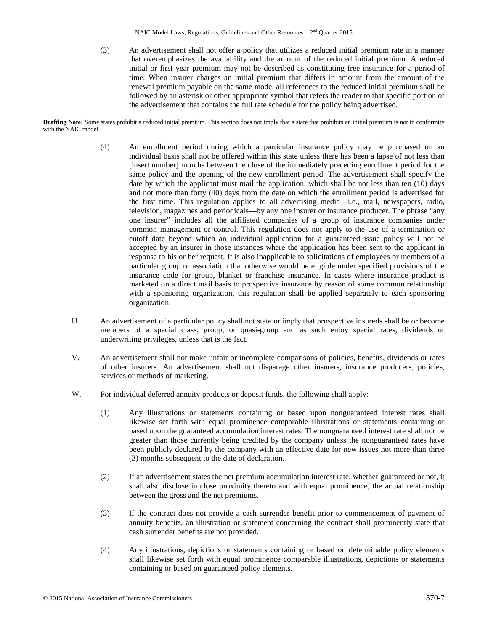NAIC Model Laws, Regulations, Guidelines and Other Resources—2<sup>nd</sup> Quarter 2015

(3) An advertisement shall not offer a policy that utilizes a reduced initial premium rate in a manner that overemphasizes the availability and the amount of the reduced initial premium. A reduced initial or first year premium may not be described as constituting free insurance for a period of time. When insurer charges an initial premium that differs in amount from the amount of the renewal premium payable on the same mode, all references to the reduced initial premium shall be followed by an asterisk or other appropriate symbol that refers the reader to that specific portion of the advertisement that contains the full rate schedule for the policy being advertised.

**Drafting Note:** Some states prohibit a reduced initial premium. This section does not imply that a state that prohibits an initial premium is not in conformity with the NAIC model.

- (4) An enrollment period during which a particular insurance policy may be purchased on an individual basis shall not be offered within this state unless there has been a lapse of not less than [insert number] months between the close of the immediately preceding enrollment period for the same policy and the opening of the new enrollment period. The advertisement shall specify the date by which the applicant must mail the application, which shall be not less than ten (10) days and not more than forty (40) days from the date on which the enrollment period is advertised for the first time. This regulation applies to all advertising media—i.e., mail, newspapers, radio, television, magazines and periodicals—by any one insurer or insurance producer. The phrase "any one insurer" includes all the affiliated companies of a group of insurance companies under common management or control. This regulation does not apply to the use of a termination or cutoff date beyond which an individual application for a guaranteed issue policy will not be accepted by an insurer in those instances where the application has been sent to the applicant in response to his or her request. It is also inapplicable to solicitations of employees or members of a particular group or association that otherwise would be eligible under specified provisions of the insurance code for group, blanket or franchise insurance. In cases where insurance product is marketed on a direct mail basis to prospective insurance by reason of some common relationship with a sponsoring organization, this regulation shall be applied separately to each sponsoring organization.
- U. An advertisement of a particular policy shall not state or imply that prospective insureds shall be or become members of a special class, group, or quasi-group and as such enjoy special rates, dividends or underwriting privileges, unless that is the fact.
- V. An advertisement shall not make unfair or incomplete comparisons of policies, benefits, dividends or rates of other insurers. An advertisement shall not disparage other insurers, insurance producers, policies, services or methods of marketing.
- W. For individual deferred annuity products or deposit funds, the following shall apply:
	- (1) Any illustrations or statements containing or based upon nonguaranteed interest rates shall likewise set forth with equal prominence comparable illustrations or statements containing or based upon the guaranteed accumulation interest rates. The nonguaranteed interest rate shall not be greater than those currently being credited by the company unless the nonguaranteed rates have been publicly declared by the company with an effective date for new issues not more than three (3) months subsequent to the date of declaration.
	- (2) If an advertisement states the net premium accumulation interest rate, whether guaranteed or not, it shall also disclose in close proximity thereto and with equal prominence, the actual relationship between the gross and the net premiums.
	- (3) If the contract does not provide a cash surrender benefit prior to commencement of payment of annuity benefits, an illustration or statement concerning the contract shall prominently state that cash surrender benefits are not provided.
	- (4) Any illustrations, depictions or statements containing or based on determinable policy elements shall likewise set forth with equal prominence comparable illustrations, depictions or statements containing or based on guaranteed policy elements.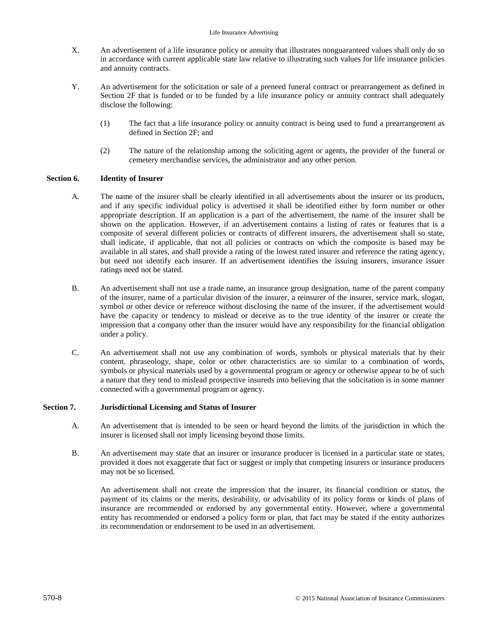- X. An advertisement of a life insurance policy or annuity that illustrates nonguaranteed values shall only do so in accordance with current applicable state law relative to illustrating such values for life insurance policies and annuity contracts.
- Y. An advertisement for the solicitation or sale of a preneed funeral contract or prearrangement as defined in Section 2F that is funded or to be funded by a life insurance policy or annuity contract shall adequately disclose the following:
	- (1) The fact that a life insurance policy or annuity contract is being used to fund a prearrangement as defined in Section 2F; and
	- (2) The nature of the relationship among the soliciting agent or agents, the provider of the funeral or cemetery merchandise services, the administrator and any other person.

## **Section 6. Identity of Insurer**

- A. The name of the insurer shall be clearly identified in all advertisements about the insurer or its products, and if any specific individual policy is advertised it shall be identified either by form number or other appropriate description. If an application is a part of the advertisement, the name of the insurer shall be shown on the application. However, if an advertisement contains a listing of rates or features that is a composite of several different policies or contracts of different insurers, the advertisement shall so state, shall indicate, if applicable, that not all policies or contracts on which the composite is based may be available in all states, and shall provide a rating of the lowest rated insurer and reference the rating agency, but need not identify each insurer. If an advertisement identifies the issuing insurers, insurance issuer ratings need not be stated.
- B. An advertisement shall not use a trade name, an insurance group designation, name of the parent company of the insurer, name of a particular division of the insurer, a reinsurer of the insurer, service mark, slogan, symbol or other device or reference without disclosing the name of the insurer, if the advertisement would have the capacity or tendency to mislead or deceive as to the true identity of the insurer or create the impression that a company other than the insurer would have any responsibility for the financial obligation under a policy.
- C. An advertisement shall not use any combination of words, symbols or physical materials that by their content, phraseology, shape, color or other characteristics are so similar to a combination of words, symbols or physical materials used by a governmental program or agency or otherwise appear to be of such a nature that they tend to mislead prospective insureds into believing that the solicitation is in some manner connected with a governmental program or agency.

# **Section 7. Jurisdictional Licensing and Status of Insurer**

- A. An advertisement that is intended to be seen or heard beyond the limits of the jurisdiction in which the insurer is licensed shall not imply licensing beyond those limits.
- B. An advertisement may state that an insurer or insurance producer is licensed in a particular state or states, provided it does not exaggerate that fact or suggest or imply that competing insurers or insurance producers may not be so licensed.

An advertisement shall not create the impression that the insurer, its financial condition or status, the payment of its claims or the merits, desirability, or advisability of its policy forms or kinds of plans of insurance are recommended or endorsed by any governmental entity. However, where a governmental entity has recommended or endorsed a policy form or plan, that fact may be stated if the entity authorizes its recommendation or endorsement to be used in an advertisement.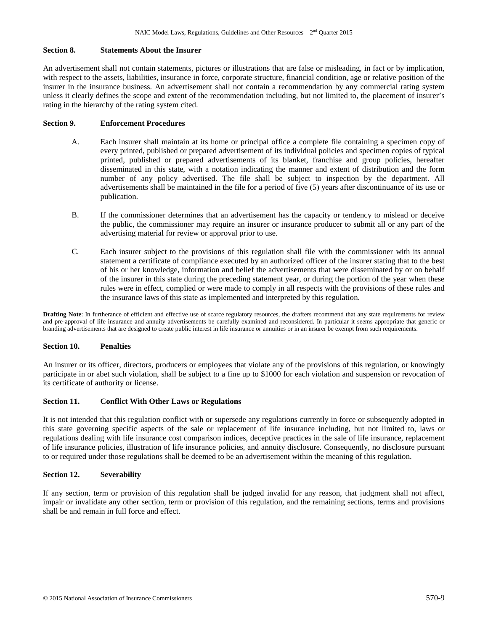#### **Section 8. Statements About the Insurer**

An advertisement shall not contain statements, pictures or illustrations that are false or misleading, in fact or by implication, with respect to the assets, liabilities, insurance in force, corporate structure, financial condition, age or relative position of the insurer in the insurance business. An advertisement shall not contain a recommendation by any commercial rating system unless it clearly defines the scope and extent of the recommendation including, but not limited to, the placement of insurer's rating in the hierarchy of the rating system cited.

### **Section 9. Enforcement Procedures**

- A. Each insurer shall maintain at its home or principal office a complete file containing a specimen copy of every printed, published or prepared advertisement of its individual policies and specimen copies of typical printed, published or prepared advertisements of its blanket, franchise and group policies, hereafter disseminated in this state, with a notation indicating the manner and extent of distribution and the form number of any policy advertised. The file shall be subject to inspection by the department. All advertisements shall be maintained in the file for a period of five (5) years after discontinuance of its use or publication.
- B. If the commissioner determines that an advertisement has the capacity or tendency to mislead or deceive the public, the commissioner may require an insurer or insurance producer to submit all or any part of the advertising material for review or approval prior to use.
- C. Each insurer subject to the provisions of this regulation shall file with the commissioner with its annual statement a certificate of compliance executed by an authorized officer of the insurer stating that to the best of his or her knowledge, information and belief the advertisements that were disseminated by or on behalf of the insurer in this state during the preceding statement year, or during the portion of the year when these rules were in effect, complied or were made to comply in all respects with the provisions of these rules and the insurance laws of this state as implemented and interpreted by this regulation.

Drafting Note: In furtherance of efficient and effective use of scarce regulatory resources, the drafters recommend that any state requirements for review and pre-approval of life insurance and annuity advertisements be carefully examined and reconsidered. In particular it seems appropriate that generic or branding advertisements that are designed to create public interest in life insurance or annuities or in an insurer be exempt from such requirements.

#### **Section 10. Penalties**

An insurer or its officer, directors, producers or employees that violate any of the provisions of this regulation, or knowingly participate in or abet such violation, shall be subject to a fine up to \$1000 for each violation and suspension or revocation of its certificate of authority or license.

#### **Section 11. Conflict With Other Laws or Regulations**

It is not intended that this regulation conflict with or supersede any regulations currently in force or subsequently adopted in this state governing specific aspects of the sale or replacement of life insurance including, but not limited to, laws or regulations dealing with life insurance cost comparison indices, deceptive practices in the sale of life insurance, replacement of life insurance policies, illustration of life insurance policies, and annuity disclosure. Consequently, no disclosure pursuant to or required under those regulations shall be deemed to be an advertisement within the meaning of this regulation.

## **Section 12. Severability**

If any section, term or provision of this regulation shall be judged invalid for any reason, that judgment shall not affect, impair or invalidate any other section, term or provision of this regulation, and the remaining sections, terms and provisions shall be and remain in full force and effect.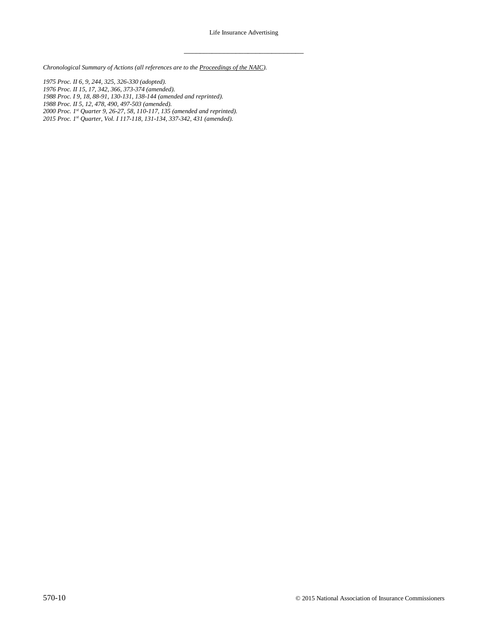\_\_\_\_\_\_\_\_\_\_\_\_\_\_\_\_\_\_\_\_\_\_\_\_\_\_\_\_\_\_

*Chronological Summary of Actions (all references are to the Proceedings of the NAIC).*

- *1975 Proc. II 6, 9, 244, 325, 326-330 (adopted).*
- *1976 Proc. II 15, 17, 342, 366, 373-374 (amended).*
- *1988 Proc. I 9, 18, 88-91, 130-131, 138-144 (amended and reprinted).*
- *1988 Proc. II 5, 12, 478, 490, 497-503 (amended).*
- *2000 Proc. 1st Quarter 9, 26-27, 58, 110-117, 135 (amended and reprinted).*
- *2015 Proc. 1st Quarter, Vol. I 117-118, 131-134, 337-342, 431 (amended).*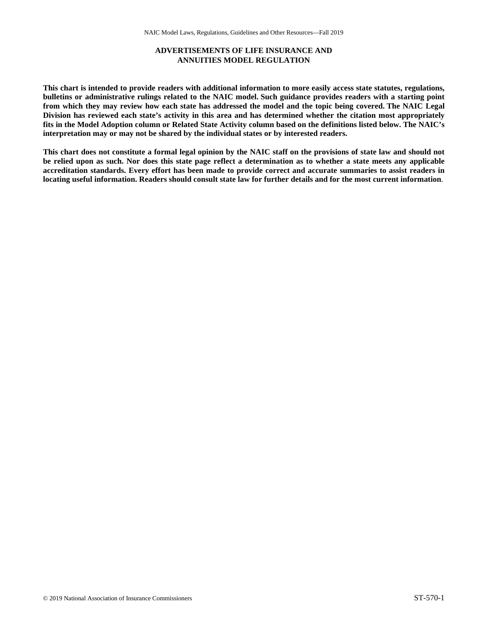**This chart is intended to provide readers with additional information to more easily access state statutes, regulations, bulletins or administrative rulings related to the NAIC model. Such guidance provides readers with a starting point from which they may review how each state has addressed the model and the topic being covered. The NAIC Legal Division has reviewed each state's activity in this area and has determined whether the citation most appropriately fits in the Model Adoption column or Related State Activity column based on the definitions listed below. The NAIC's interpretation may or may not be shared by the individual states or by interested readers.** 

**This chart does not constitute a formal legal opinion by the NAIC staff on the provisions of state law and should not be relied upon as such. Nor does this state page reflect a determination as to whether a state meets any applicable accreditation standards. Every effort has been made to provide correct and accurate summaries to assist readers in locating useful information. Readers should consult state law for further details and for the most current information**.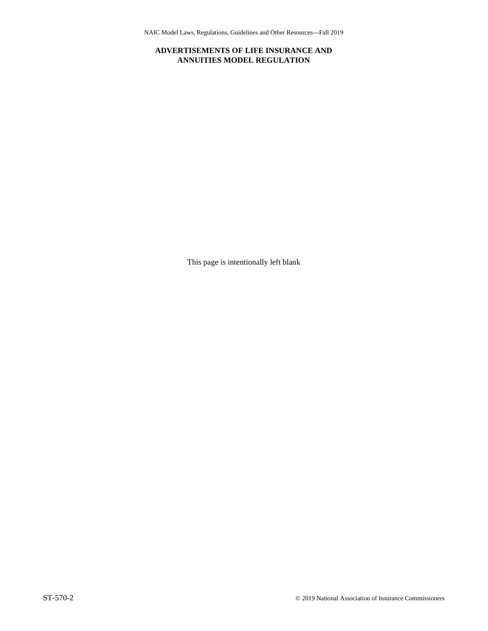This page is intentionally left blank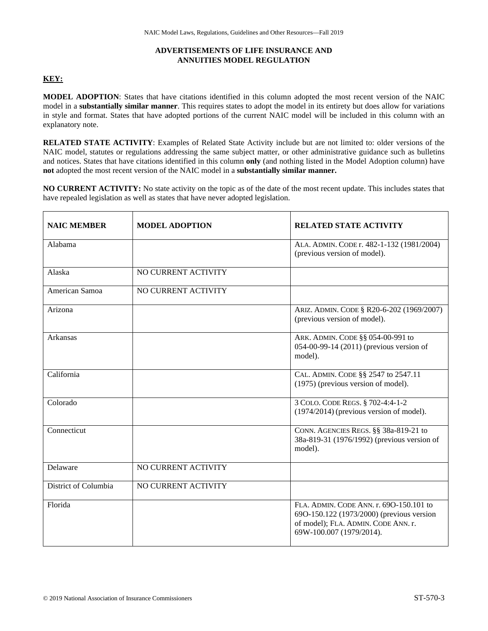# **KEY:**

**MODEL ADOPTION**: States that have citations identified in this column adopted the most recent version of the NAIC model in a **substantially similar manner**. This requires states to adopt the model in its entirety but does allow for variations in style and format. States that have adopted portions of the current NAIC model will be included in this column with an explanatory note.

**RELATED STATE ACTIVITY**: Examples of Related State Activity include but are not limited to: older versions of the NAIC model, statutes or regulations addressing the same subject matter, or other administrative guidance such as bulletins and notices. States that have citations identified in this column **only** (and nothing listed in the Model Adoption column) have **not** adopted the most recent version of the NAIC model in a **substantially similar manner.**

**NO CURRENT ACTIVITY:** No state activity on the topic as of the date of the most recent update. This includes states that have repealed legislation as well as states that have never adopted legislation.

| <b>NAIC MEMBER</b>   | <b>MODEL ADOPTION</b> | <b>RELATED STATE ACTIVITY</b>                                                                                                                           |
|----------------------|-----------------------|---------------------------------------------------------------------------------------------------------------------------------------------------------|
| Alabama              |                       | ALA. ADMIN. CODE r. 482-1-132 (1981/2004)<br>(previous version of model).                                                                               |
| Alaska               | NO CURRENT ACTIVITY   |                                                                                                                                                         |
| American Samoa       | NO CURRENT ACTIVITY   |                                                                                                                                                         |
| Arizona              |                       | ARIZ. ADMIN. CODE § R20-6-202 (1969/2007)<br>(previous version of model).                                                                               |
| Arkansas             |                       | ARK. ADMIN. CODE §§ 054-00-991 to<br>054-00-99-14 (2011) (previous version of<br>model).                                                                |
| California           |                       | CAL. ADMIN. CODE §§ 2547 to 2547.11<br>(1975) (previous version of model).                                                                              |
| Colorado             |                       | 3 COLO. CODE REGS. § 702-4:4-1-2<br>$(1974/2014)$ (previous version of model).                                                                          |
| Connecticut          |                       | CONN. AGENCIES REGS. §§ 38a-819-21 to<br>38a-819-31 (1976/1992) (previous version of<br>model).                                                         |
| Delaware             | NO CURRENT ACTIVITY   |                                                                                                                                                         |
| District of Columbia | NO CURRENT ACTIVITY   |                                                                                                                                                         |
| Florida              |                       | FLA. ADMIN. CODE ANN. r. 690-150.101 to<br>690-150.122 (1973/2000) (previous version<br>of model); FLA. ADMIN. CODE ANN. r.<br>69W-100.007 (1979/2014). |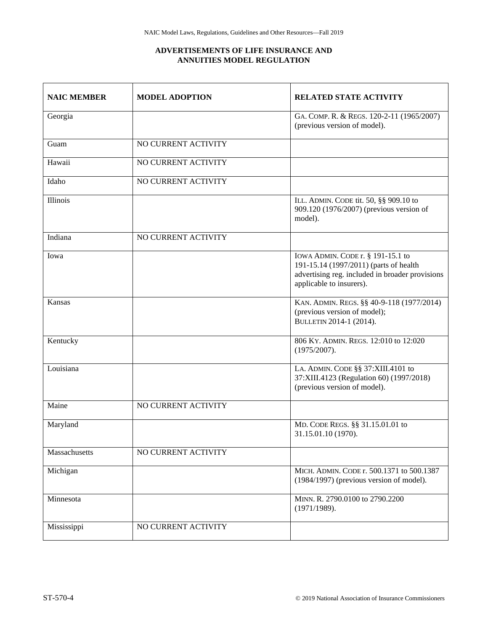| <b>NAIC MEMBER</b> | <b>MODEL ADOPTION</b> | <b>RELATED STATE ACTIVITY</b>                                                                                                                              |
|--------------------|-----------------------|------------------------------------------------------------------------------------------------------------------------------------------------------------|
| Georgia            |                       | GA. COMP. R. & REGS. 120-2-11 (1965/2007)<br>(previous version of model).                                                                                  |
| Guam               | NO CURRENT ACTIVITY   |                                                                                                                                                            |
| Hawaii             | NO CURRENT ACTIVITY   |                                                                                                                                                            |
| Idaho              | NO CURRENT ACTIVITY   |                                                                                                                                                            |
| Illinois           |                       | ILL. ADMIN. CODE tit. 50, §§ 909.10 to<br>909.120 (1976/2007) (previous version of<br>model).                                                              |
| Indiana            | NO CURRENT ACTIVITY   |                                                                                                                                                            |
| Iowa               |                       | IOWA ADMIN. CODE r. § 191-15.1 to<br>191-15.14 (1997/2011) (parts of health<br>advertising reg. included in broader provisions<br>applicable to insurers). |
| Kansas             |                       | KAN. ADMIN. REGS. §§ 40-9-118 (1977/2014)<br>(previous version of model);<br>BULLETIN 2014-1 (2014).                                                       |
| Kentucky           |                       | 806 KY. ADMIN. REGS. 12:010 to 12:020<br>(1975/2007).                                                                                                      |
| Louisiana          |                       | LA. ADMIN. CODE §§ 37:XIII.4101 to<br>37:XIII.4123 (Regulation 60) (1997/2018)<br>(previous version of model).                                             |
| Maine              | NO CURRENT ACTIVITY   |                                                                                                                                                            |
| Maryland           |                       | MD. CODE REGS. §§ 31.15.01.01 to<br>31.15.01.10 (1970).                                                                                                    |
| Massachusetts      | NO CURRENT ACTIVITY   |                                                                                                                                                            |
| Michigan           |                       | MICH. ADMIN. CODE r. 500.1371 to 500.1387<br>(1984/1997) (previous version of model).                                                                      |
| Minnesota          |                       | MINN. R. 2790.0100 to 2790.2200<br>(1971/1989).                                                                                                            |
| Mississippi        | NO CURRENT ACTIVITY   |                                                                                                                                                            |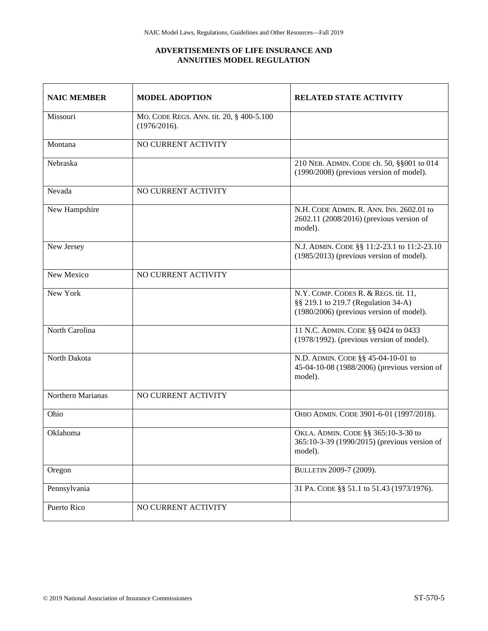| <b>NAIC MEMBER</b> | <b>MODEL ADOPTION</b>                                    | <b>RELATED STATE ACTIVITY</b>                                                                                           |
|--------------------|----------------------------------------------------------|-------------------------------------------------------------------------------------------------------------------------|
| Missouri           | MO. CODE REGS. ANN. tit. 20, § 400-5.100<br>(1976/2016). |                                                                                                                         |
| Montana            | NO CURRENT ACTIVITY                                      |                                                                                                                         |
| Nebraska           |                                                          | 210 NEB. ADMIN. CODE ch. 50, §§001 to 014<br>(1990/2008) (previous version of model).                                   |
| Nevada             | NO CURRENT ACTIVITY                                      |                                                                                                                         |
| New Hampshire      |                                                          | N.H. CODE ADMIN. R. ANN. INS. 2602.01 to<br>2602.11 (2008/2016) (previous version of<br>model).                         |
| New Jersey         |                                                          | N.J. ADMIN. CODE §§ 11:2-23.1 to 11:2-23.10<br>(1985/2013) (previous version of model).                                 |
| New Mexico         | NO CURRENT ACTIVITY                                      |                                                                                                                         |
| New York           |                                                          | N.Y. COMP. CODES R. & REGS. tit. 11,<br>§§ 219.1 to 219.7 (Regulation 34-A)<br>(1980/2006) (previous version of model). |
| North Carolina     |                                                          | 11 N.C. ADMIN. CODE §§ 0424 to 0433<br>(1978/1992). (previous version of model).                                        |
| North Dakota       |                                                          | N.D. ADMIN. CODE §§ 45-04-10-01 to<br>45-04-10-08 (1988/2006) (previous version of<br>model).                           |
| Northern Marianas  | NO CURRENT ACTIVITY                                      |                                                                                                                         |
| Ohio               |                                                          | OHIO ADMIN. CODE 3901-6-01 (1997/2018).                                                                                 |
| Oklahoma           |                                                          | OKLA. ADMIN. CODE §§ 365:10-3-30 to<br>365:10-3-39 (1990/2015) (previous version of<br>model).                          |
| Oregon             |                                                          | BULLETIN 2009-7 (2009).                                                                                                 |
| Pennsylvania       |                                                          | 31 PA. CODE §§ 51.1 to 51.43 (1973/1976).                                                                               |
| Puerto Rico        | NO CURRENT ACTIVITY                                      |                                                                                                                         |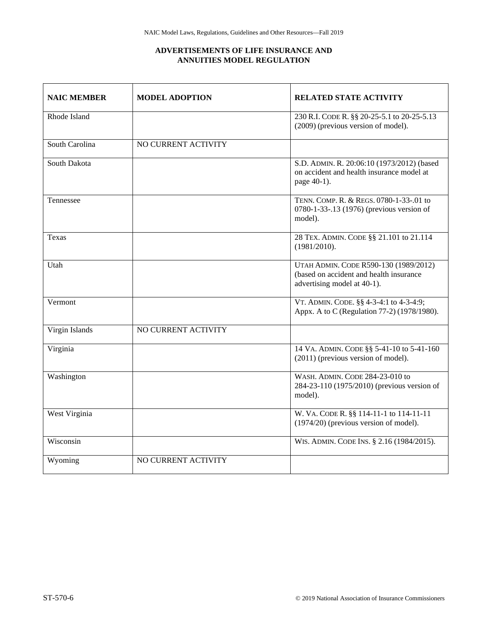| <b>NAIC MEMBER</b> | <b>MODEL ADOPTION</b> | <b>RELATED STATE ACTIVITY</b>                                                                                   |
|--------------------|-----------------------|-----------------------------------------------------------------------------------------------------------------|
| Rhode Island       |                       | 230 R.I. CODE R. §§ 20-25-5.1 to 20-25-5.13<br>(2009) (previous version of model).                              |
| South Carolina     | NO CURRENT ACTIVITY   |                                                                                                                 |
| South Dakota       |                       | S.D. ADMIN. R. 20:06:10 (1973/2012) (based<br>on accident and health insurance model at<br>page 40-1).          |
| Tennessee          |                       | TENN. COMP. R. & REGS. 0780-1-33-.01 to<br>0780-1-33-.13 (1976) (previous version of<br>model).                 |
| Texas              |                       | 28 TEX. ADMIN. CODE §§ 21.101 to 21.114<br>(1981/2010).                                                         |
| Utah               |                       | UTAH ADMIN. CODE R590-130 (1989/2012)<br>(based on accident and health insurance<br>advertising model at 40-1). |
| Vermont            |                       | VT. ADMIN. CODE. §§ 4-3-4:1 to 4-3-4:9;<br>Appx. A to C (Regulation 77-2) (1978/1980).                          |
| Virgin Islands     | NO CURRENT ACTIVITY   |                                                                                                                 |
| Virginia           |                       | 14 VA. ADMIN. CODE §§ 5-41-10 to 5-41-160<br>(2011) (previous version of model).                                |
| Washington         |                       | WASH. ADMIN. CODE 284-23-010 to<br>284-23-110 (1975/2010) (previous version of<br>model).                       |
| West Virginia      |                       | W. VA. CODE R. §§ 114-11-1 to 114-11-11<br>$(1974/20)$ (previous version of model).                             |
| Wisconsin          |                       | WIS. ADMIN. CODE INS. § 2.16 (1984/2015).                                                                       |
| Wyoming            | NO CURRENT ACTIVITY   |                                                                                                                 |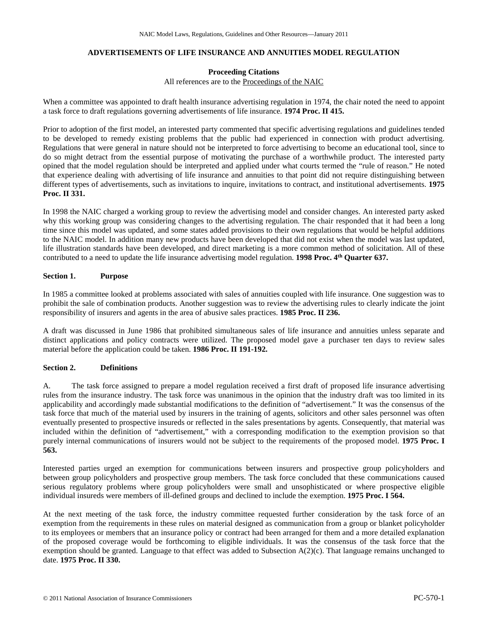### **Proceeding Citations**

All references are to the Proceedings of the NAIC

When a committee was appointed to draft health insurance advertising regulation in 1974, the chair noted the need to appoint a task force to draft regulations governing advertisements of life insurance. **1974 Proc. II 415.**

Prior to adoption of the first model, an interested party commented that specific advertising regulations and guidelines tended to be developed to remedy existing problems that the public had experienced in connection with product advertising. Regulations that were general in nature should not be interpreted to force advertising to become an educational tool, since to do so might detract from the essential purpose of motivating the purchase of a worthwhile product. The interested party opined that the model regulation should be interpreted and applied under what courts termed the "rule of reason." He noted that experience dealing with advertising of life insurance and annuities to that point did not require distinguishing between different types of advertisements, such as invitations to inquire, invitations to contract, and institutional advertisements. **1975 Proc. II 331.**

In 1998 the NAIC charged a working group to review the advertising model and consider changes. An interested party asked why this working group was considering changes to the advertising regulation. The chair responded that it had been a long time since this model was updated, and some states added provisions to their own regulations that would be helpful additions to the NAIC model. In addition many new products have been developed that did not exist when the model was last updated, life illustration standards have been developed, and direct marketing is a more common method of solicitation. All of these contributed to a need to update the life insurance advertising model regulation. **1998 Proc. 4th Quarter 637.**

### **Section 1. Purpose**

In 1985 a committee looked at problems associated with sales of annuities coupled with life insurance. One suggestion was to prohibit the sale of combination products. Another suggestion was to review the advertising rules to clearly indicate the joint responsibility of insurers and agents in the area of abusive sales practices. **1985 Proc. II 236.**

A draft was discussed in June 1986 that prohibited simultaneous sales of life insurance and annuities unless separate and distinct applications and policy contracts were utilized. The proposed model gave a purchaser ten days to review sales material before the application could be taken. **1986 Proc. II 191-192.**

## **Section 2. Definitions**

A. The task force assigned to prepare a model regulation received a first draft of proposed life insurance advertising rules from the insurance industry. The task force was unanimous in the opinion that the industry draft was too limited in its applicability and accordingly made substantial modifications to the definition of "advertisement." It was the consensus of the task force that much of the material used by insurers in the training of agents, solicitors and other sales personnel was often eventually presented to prospective insureds or reflected in the sales presentations by agents. Consequently, that material was included within the definition of "advertisement," with a corresponding modification to the exemption provision so that purely internal communications of insurers would not be subject to the requirements of the proposed model. **1975 Proc. I 563.**

Interested parties urged an exemption for communications between insurers and prospective group policyholders and between group policyholders and prospective group members. The task force concluded that these communications caused serious regulatory problems where group policyholders were small and unsophisticated or where prospective eligible individual insureds were members of ill-defined groups and declined to include the exemption. **1975 Proc. I 564.**

At the next meeting of the task force, the industry committee requested further consideration by the task force of an exemption from the requirements in these rules on material designed as communication from a group or blanket policyholder to its employees or members that an insurance policy or contract had been arranged for them and a more detailed explanation of the proposed coverage would be forthcoming to eligible individuals. It was the consensus of the task force that the exemption should be granted. Language to that effect was added to Subsection  $A(2)(c)$ . That language remains unchanged to date. **1975 Proc. II 330.**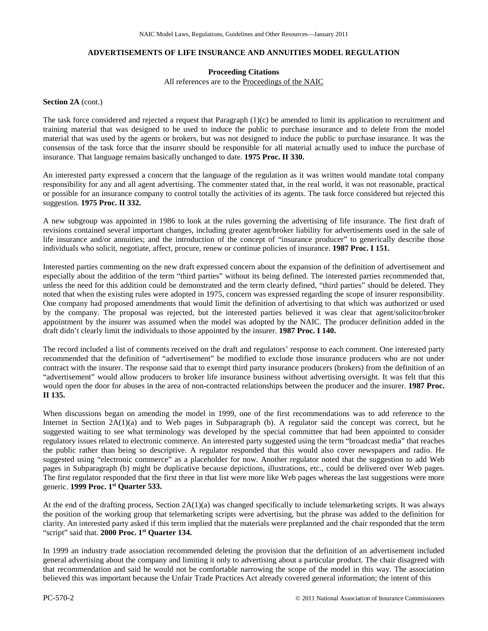### **Proceeding Citations**

All references are to the Proceedings of the NAIC

#### **Section 2A** (cont.)

The task force considered and rejected a request that Paragraph (1)(c) be amended to limit its application to recruitment and training material that was designed to be used to induce the public to purchase insurance and to delete from the model material that was used by the agents or brokers, but was not designed to induce the public to purchase insurance. It was the consensus of the task force that the insurer should be responsible for all material actually used to induce the purchase of insurance. That language remains basically unchanged to date. **1975 Proc. II 330.**

An interested party expressed a concern that the language of the regulation as it was written would mandate total company responsibility for any and all agent advertising. The commenter stated that, in the real world, it was not reasonable, practical or possible for an insurance company to control totally the activities of its agents. The task force considered but rejected this suggestion. **1975 Proc. II 332.**

A new subgroup was appointed in 1986 to look at the rules governing the advertising of life insurance. The first draft of revisions contained several important changes, including greater agent/broker liability for advertisements used in the sale of life insurance and/or annuities; and the introduction of the concept of "insurance producer" to generically describe those individuals who solicit, negotiate, affect, procure, renew or continue policies of insurance. **1987 Proc. I 151.**

Interested parties commenting on the new draft expressed concern about the expansion of the definition of advertisement and especially about the addition of the term "third parties" without its being defined. The interested parties recommended that, unless the need for this addition could be demonstrated and the term clearly defined, "third parties" should be deleted. They noted that when the existing rules were adopted in 1975, concern was expressed regarding the scope of insurer responsibility. One company had proposed amendments that would limit the definition of advertising to that which was authorized or used by the company. The proposal was rejected, but the interested parties believed it was clear that agent/solicitor/broker appointment by the insurer was assumed when the model was adopted by the NAIC. The producer definition added in the draft didn't clearly limit the individuals to those appointed by the insurer. **1987 Proc. I 140.**

The record included a list of comments received on the draft and regulators' response to each comment. One interested party recommended that the definition of "advertisement" be modified to exclude those insurance producers who are not under contract with the insurer. The response said that to exempt third party insurance producers (brokers) from the definition of an "advertisement" would allow producers to broker life insurance business without advertising oversight. It was felt that this would open the door for abuses in the area of non-contracted relationships between the producer and the insurer. **1987 Proc. II 135.**

When discussions began on amending the model in 1999, one of the first recommendations was to add reference to the Internet in Section 2A(1)(a) and to Web pages in Subparagraph (b). A regulator said the concept was correct, but he suggested waiting to see what terminology was developed by the special committee that had been appointed to consider regulatory issues related to electronic commerce. An interested party suggested using the term "broadcast media" that reaches the public rather than being so descriptive. A regulator responded that this would also cover newspapers and radio. He suggested using "electronic commerce" as a placeholder for now. Another regulator noted that the suggestion to add Web pages in Subparagraph (b) might be duplicative because depictions, illustrations, etc., could be delivered over Web pages. The first regulator responded that the first three in that list were more like Web pages whereas the last suggestions were more generic. **1999 Proc. 1st Quarter 533.**

At the end of the drafting process, Section  $2A(1)(a)$  was changed specifically to include telemarketing scripts. It was always the position of the working group that telemarketing scripts were advertising, but the phrase was added to the definition for clarity. An interested party asked if this term implied that the materials were preplanned and the chair responded that the term "script" said that. **2000 Proc. 1st Quarter 134.**

In 1999 an industry trade association recommended deleting the provision that the definition of an advertisement included general advertising about the company and limiting it only to advertising about a particular product. The chair disagreed with that recommendation and said he would not be comfortable narrowing the scope of the model in this way. The association believed this was important because the Unfair Trade Practices Act already covered general information; the intent of this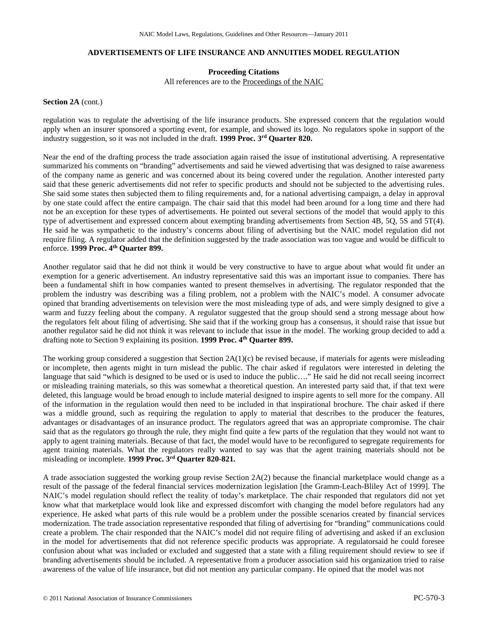#### **Proceeding Citations**

All references are to the Proceedings of the NAIC

**Section 2A** (cont.)

regulation was to regulate the advertising of the life insurance products. She expressed concern that the regulation would apply when an insurer sponsored a sporting event, for example, and showed its logo. No regulators spoke in support of the industry suggestion, so it was not included in the draft. **1999 Proc. 3rd Quarter 820.**

Near the end of the drafting process the trade association again raised the issue of institutional advertising. A representative summarized his comments on "branding" advertisements and said he viewed advertising that was designed to raise awareness of the company name as generic and was concerned about its being covered under the regulation. Another interested party said that these generic advertisements did not refer to specific products and should not be subjected to the advertising rules. She said some states then subjected them to filing requirements and, for a national advertising campaign, a delay in approval by one state could affect the entire campaign. The chair said that this model had been around for a long time and there had not be an exception for these types of advertisements. He pointed out several sections of the model that would apply to this type of advertisement and expressed concern about exempting branding advertisements from Section 4B, 5Q, 5S and 5T(4). He said he was sympathetic to the industry's concerns about filing of advertising but the NAIC model regulation did not require filing. A regulator added that the definition suggested by the trade association was too vague and would be difficult to enforce. **1999 Proc. 4th Quarter 899.**

Another regulator said that he did not think it would be very constructive to have to argue about what would fit under an exemption for a generic advertisement. An industry representative said this was an important issue to companies. There has been a fundamental shift in how companies wanted to present themselves in advertising. The regulator responded that the problem the industry was describing was a filing problem, not a problem with the NAIC's model. A consumer advocate opined that branding advertisements on television were the most misleading type of ads, and were simply designed to give a warm and fuzzy feeling about the company. A regulator suggested that the group should send a strong message about how the regulators felt about filing of advertising. She said that if the working group has a consensus, it should raise that issue but another regulator said he did not think it was relevant to include that issue in the model. The working group decided to add a drafting note to Section 9 explaining its position. **1999 Proc. 4th Quarter 899.**

The working group considered a suggestion that Section  $2A(1)(c)$  be revised because, if materials for agents were misleading or incomplete, then agents might in turn mislead the public. The chair asked if regulators were interested in deleting the language that said "which is designed to be used or is used to induce the public…." He said he did not recall seeing incorrect or misleading training materials, so this was somewhat a theoretical question. An interested party said that, if that text were deleted, this language would be broad enough to include material designed to inspire agents to sell more for the company. All of the information in the regulation would then need to be included in that inspirational brochure. The chair asked if there was a middle ground, such as requiring the regulation to apply to material that describes to the producer the features, advantages or disadvantages of an insurance product. The regulators agreed that was an appropriate compromise. The chair said that as the regulators go through the rule, they might find quite a few parts of the regulation that they would not want to apply to agent training materials. Because of that fact, the model would have to be reconfigured to segregate requirements for agent training materials. What the regulators really wanted to say was that the agent training materials should not be misleading or incomplete. **1999 Proc. 3rd Quarter 820-821.**

A trade association suggested the working group revise Section 2A(2) because the financial marketplace would change as a result of the passage of the federal financial services modernization legislation [the Gramm-Leach-Bliley Act of 1999]. The NAIC's model regulation should reflect the reality of today's marketplace. The chair responded that regulators did not yet know what that marketplace would look like and expressed discomfort with changing the model before regulators had any experience. He asked what parts of this rule would be a problem under the possible scenarios created by financial services modernization. The trade association representative responded that filing of advertising for "branding" communications could create a problem. The chair responded that the NAIC's model did not require filing of advertising and asked if an exclusion in the model for advertisements that did not reference specific products was appropriate. A regulatorsaid he could foresee confusion about what was included or excluded and suggested that a state with a filing requirement should review to see if branding advertisements should be included. A representative from a producer association said his organization tried to raise awareness of the value of life insurance, but did not mention any particular company. He opined that the model was not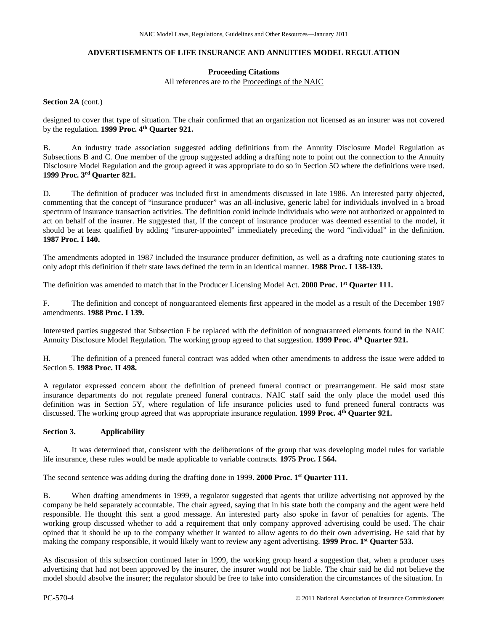## **Proceeding Citations**

All references are to the Proceedings of the NAIC

**Section 2A** (cont.)

designed to cover that type of situation. The chair confirmed that an organization not licensed as an insurer was not covered by the regulation. **1999 Proc. 4th Quarter 921.**

B. An industry trade association suggested adding definitions from the Annuity Disclosure Model Regulation as Subsections B and C. One member of the group suggested adding a drafting note to point out the connection to the Annuity Disclosure Model Regulation and the group agreed it was appropriate to do so in Section 5O where the definitions were used. **1999 Proc. 3rd Quarter 821.**

D. The definition of producer was included first in amendments discussed in late 1986. An interested party objected, commenting that the concept of "insurance producer" was an all-inclusive, generic label for individuals involved in a broad spectrum of insurance transaction activities. The definition could include individuals who were not authorized or appointed to act on behalf of the insurer. He suggested that, if the concept of insurance producer was deemed essential to the model, it should be at least qualified by adding "insurer-appointed" immediately preceding the word "individual" in the definition. **1987 Proc. I 140.**

The amendments adopted in 1987 included the insurance producer definition, as well as a drafting note cautioning states to only adopt this definition if their state laws defined the term in an identical manner. **1988 Proc. I 138-139.**

The definition was amended to match that in the Producer Licensing Model Act. **2000 Proc. 1st Quarter 111.** 

F. The definition and concept of nonguaranteed elements first appeared in the model as a result of the December 1987 amendments. **1988 Proc. I 139.**

Interested parties suggested that Subsection F be replaced with the definition of nonguaranteed elements found in the NAIC Annuity Disclosure Model Regulation. The working group agreed to that suggestion. **1999 Proc. 4th Quarter 921.**

H. The definition of a preneed funeral contract was added when other amendments to address the issue were added to Section 5. **1988 Proc. II 498.**

A regulator expressed concern about the definition of preneed funeral contract or prearrangement. He said most state insurance departments do not regulate preneed funeral contracts. NAIC staff said the only place the model used this definition was in Section 5Y, where regulation of life insurance policies used to fund preneed funeral contracts was discussed. The working group agreed that was appropriate insurance regulation. **1999 Proc. 4th Quarter 921.**

#### **Section 3. Applicability**

A. It was determined that, consistent with the deliberations of the group that was developing model rules for variable life insurance, these rules would be made applicable to variable contracts. **1975 Proc. I 564.**

The second sentence was adding during the drafting done in 1999. **2000 Proc. 1st Quarter 111.**

B. When drafting amendments in 1999, a regulator suggested that agents that utilize advertising not approved by the company be held separately accountable. The chair agreed, saying that in his state both the company and the agent were held responsible. He thought this sent a good message. An interested party also spoke in favor of penalties for agents. The working group discussed whether to add a requirement that only company approved advertising could be used. The chair opined that it should be up to the company whether it wanted to allow agents to do their own advertising. He said that by making the company responsible, it would likely want to review any agent advertising. **1999 Proc. 1st Quarter 533.**

As discussion of this subsection continued later in 1999, the working group heard a suggestion that, when a producer uses advertising that had not been approved by the insurer, the insurer would not be liable. The chair said he did not believe the model should absolve the insurer; the regulator should be free to take into consideration the circumstances of the situation. In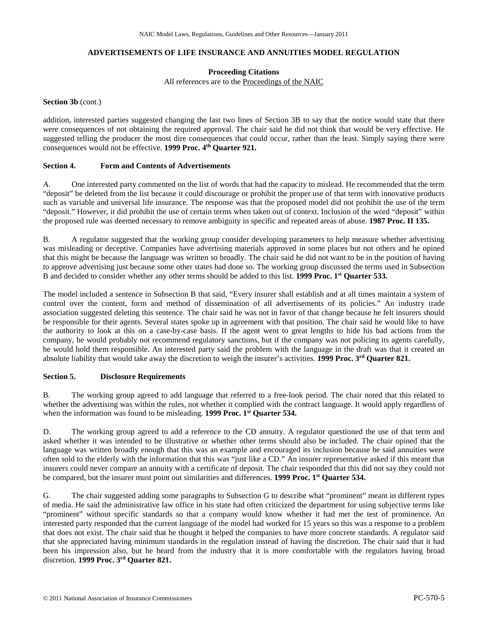## **Proceeding Citations**

All references are to the Proceedings of the NAIC

#### **Section 3b** (cont.)

addition, interested parties suggested changing the last two lines of Section 3B to say that the notice would state that there were consequences of not obtaining the required approval. The chair said he did not think that would be very effective. He suggested telling the producer the most dire consequences that could occur, rather than the least. Simply saying there were consequences would not be effective. **1999 Proc. 4th Quarter 921.**

### **Section 4. Form and Contents of Advertisements**

A. One interested party commented on the list of words that had the capacity to mislead. He recommended that the term "deposit" be deleted from the list because it could discourage or prohibit the proper use of that term with innovative products such as variable and universal life insurance. The response was that the proposed model did not prohibit the use of the term "deposit." However, it did prohibit the use of certain terms when taken out of context. Inclusion of the word "deposit" within the proposed rule was deemed necessary to remove ambiguity in specific and repeated areas of abuse. **1987 Proc. II 135.**

B. A regulator suggested that the working group consider developing parameters to help measure whether advertising was misleading or deceptive. Companies have advertising materials approved in some places but not others and he opined that this might be because the language was written so broadly. The chair said he did not want to be in the position of having to approve advertising just because some other states had done so. The working group discussed the terms used in Subsection B and decided to consider whether any other terms should be added to this list. **1999 Proc. 1st Quarter 533.**

The model included a sentence in Subsection B that said, "Every insurer shall establish and at all times maintain a system of control over the content, form and method of dissemination of all advertisements of its policies." An industry trade association suggested deleting this sentence. The chair said he was not in favor of that change because he felt insurers should be responsible for their agents. Several states spoke up in agreement with that position. The chair said he would like to have the authority to look at this on a case-by-case basis. If the agent went to great lengths to hide his bad actions from the company, he would probably not recommend regulatory sanctions, but if the company was not policing its agents carefully, he would hold them responsible. An interested party said the problem with the language in the draft was that it created an absolute liability that would take away the discretion to weigh the insurer's activities. **1999 Proc. 3rd Quarter 821.**

## **Section 5. Disclosure Requirements**

B. The working group agreed to add language that referred to a free-look period. The chair noted that this related to whether the advertising was within the rules, not whether it complied with the contract language. It would apply regardless of when the information was found to be misleading. **1999 Proc. 1st** Quarter 534.

D. The working group agreed to add a reference to the CD annuity. A regulator questioned the use of that term and asked whether it was intended to be illustrative or whether other terms should also be included. The chair opined that the language was written broadly enough that this was an example and encouraged its inclusion because he said annuities were often sold to the elderly with the information that this was "just like a CD." An insurer representative asked if this meant that insurers could never compare an annuity with a certificate of deposit. The chair responded that this did not say they could not be compared, but the insurer must point out similarities and differences. **1999 Proc. 1st Quarter 534.**

G. The chair suggested adding some paragraphs to Subsection G to describe what "prominent" meant in different types of media. He said the administrative law office in his state had often criticized the department for using subjective terms like "prominent" without specific standards so that a company would know whether it had met the test of prominence. An interested party responded that the current language of the model had worked for 15 years so this was a response to a problem that does not exist. The chair said that he thought it helped the companies to have more concrete standards. A regulator said that she appreciated having minimum standards in the regulation instead of having the discretion. The chair said that it had been his impression also, but he heard from the industry that it is more comfortable with the regulators having broad discretion. **1999 Proc. 3rd Quarter 821.**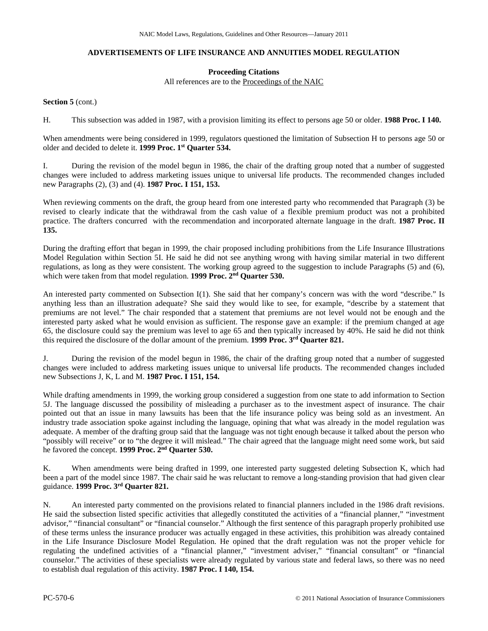### **Proceeding Citations**

All references are to the Proceedings of the NAIC

**Section 5** (cont.)

H. This subsection was added in 1987, with a provision limiting its effect to persons age 50 or older. **1988 Proc. I 140.**

When amendments were being considered in 1999, regulators questioned the limitation of Subsection H to persons age 50 or older and decided to delete it. **1999 Proc. 1st Quarter 534.**

I. During the revision of the model begun in 1986, the chair of the drafting group noted that a number of suggested changes were included to address marketing issues unique to universal life products. The recommended changes included new Paragraphs (2), (3) and (4). **1987 Proc. I 151, 153.**

When reviewing comments on the draft, the group heard from one interested party who recommended that Paragraph (3) be revised to clearly indicate that the withdrawal from the cash value of a flexible premium product was not a prohibited practice. The drafters concurred with the recommendation and incorporated alternate language in the draft. **1987 Proc. II 135.**

During the drafting effort that began in 1999, the chair proposed including prohibitions from the Life Insurance Illustrations Model Regulation within Section 5I. He said he did not see anything wrong with having similar material in two different regulations, as long as they were consistent. The working group agreed to the suggestion to include Paragraphs (5) and (6), which were taken from that model regulation. **1999 Proc. 2nd Quarter 530.**

An interested party commented on Subsection I(1). She said that her company's concern was with the word "describe." Is anything less than an illustration adequate? She said they would like to see, for example, "describe by a statement that premiums are not level." The chair responded that a statement that premiums are not level would not be enough and the interested party asked what he would envision as sufficient. The response gave an example: if the premium changed at age 65, the disclosure could say the premium was level to age 65 and then typically increased by 40%. He said he did not think this required the disclosure of the dollar amount of the premium. **1999 Proc. 3rd Quarter 821.**

J. During the revision of the model begun in 1986, the chair of the drafting group noted that a number of suggested changes were included to address marketing issues unique to universal life products. The recommended changes included new Subsections J, K, L and M. **1987 Proc. I 151, 154.**

While drafting amendments in 1999, the working group considered a suggestion from one state to add information to Section 5J. The language discussed the possibility of misleading a purchaser as to the investment aspect of insurance. The chair pointed out that an issue in many lawsuits has been that the life insurance policy was being sold as an investment. An industry trade association spoke against including the language, opining that what was already in the model regulation was adequate. A member of the drafting group said that the language was not tight enough because it talked about the person who "possibly will receive" or to "the degree it will mislead." The chair agreed that the language might need some work, but said he favored the concept. **1999 Proc. 2nd Quarter 530.**

K. When amendments were being drafted in 1999, one interested party suggested deleting Subsection K, which had been a part of the model since 1987. The chair said he was reluctant to remove a long-standing provision that had given clear guidance. **1999 Proc. 3rd Quarter 821.**

N. An interested party commented on the provisions related to financial planners included in the 1986 draft revisions. He said the subsection listed specific activities that allegedly constituted the activities of a "financial planner," "investment advisor," "financial consultant" or "financial counselor." Although the first sentence of this paragraph properly prohibited use of these terms unless the insurance producer was actually engaged in these activities, this prohibition was already contained in the Life Insurance Disclosure Model Regulation. He opined that the draft regulation was not the proper vehicle for regulating the undefined activities of a "financial planner," "investment adviser," "financial consultant" or "financial counselor." The activities of these specialists were already regulated by various state and federal laws, so there was no need to establish dual regulation of this activity. **1987 Proc. I 140, 154.**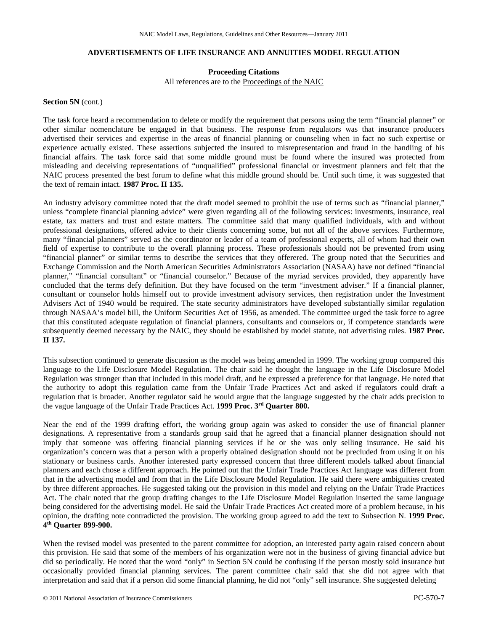#### **Proceeding Citations**

All references are to the Proceedings of the NAIC

#### **Section 5N** (cont.)

The task force heard a recommendation to delete or modify the requirement that persons using the term "financial planner" or other similar nomenclature be engaged in that business. The response from regulators was that insurance producers advertised their services and expertise in the areas of financial planning or counseling when in fact no such expertise or experience actually existed. These assertions subjected the insured to misrepresentation and fraud in the handling of his financial affairs. The task force said that some middle ground must be found where the insured was protected from misleading and deceiving representations of "unqualified" professional financial or investment planners and felt that the NAIC process presented the best forum to define what this middle ground should be. Until such time, it was suggested that the text of remain intact. **1987 Proc. II 135.**

An industry advisory committee noted that the draft model seemed to prohibit the use of terms such as "financial planner," unless "complete financial planning advice" were given regarding all of the following services: investments, insurance, real estate, tax matters and trust and estate matters. The committee said that many qualified individuals, with and without professional designations, offered advice to their clients concerning some, but not all of the above services. Furthermore, many "financial planners" served as the coordinator or leader of a team of professional experts, all of whom had their own field of expertise to contribute to the overall planning process. These professionals should not be prevented from using "financial planner" or similar terms to describe the services that they offerered. The group noted that the Securities and Exchange Commission and the North American Securities Administrators Association (NASAA) have not defined "financial planner," "financial consultant" or "financial counselor." Because of the myriad services provided, they apparently have concluded that the terms defy definition. But they have focused on the term "investment adviser." If a financial planner, consultant or counselor holds himself out to provide investment advisory services, then registration under the Investment Advisers Act of 1940 would be required. The state security administrators have developed substantially similar regulation through NASAA's model bill, the Uniform Securities Act of 1956, as amended. The committee urged the task force to agree that this constituted adequate regulation of financial planners, consultants and counselors or, if competence standards were subsequently deemed necessary by the NAIC, they should be established by model statute, not advertising rules. **1987 Proc. II 137.**

This subsection continued to generate discussion as the model was being amended in 1999. The working group compared this language to the Life Disclosure Model Regulation. The chair said he thought the language in the Life Disclosure Model Regulation was stronger than that included in this model draft, and he expressed a preference for that language. He noted that the authority to adopt this regulation came from the Unfair Trade Practices Act and asked if regulators could draft a regulation that is broader. Another regulator said he would argue that the language suggested by the chair adds precision to the vague language of the Unfair Trade Practices Act. **1999 Proc. 3rd Quarter 800.**

Near the end of the 1999 drafting effort, the working group again was asked to consider the use of financial planner designations. A representative from a standards group said that he agreed that a financial planner designation should not imply that someone was offering financial planning services if he or she was only selling insurance. He said his organization's concern was that a person with a properly obtained designation should not be precluded from using it on his stationary or business cards. Another interested party expressed concern that three different models talked about financial planners and each chose a different approach. He pointed out that the Unfair Trade Practices Act language was different from that in the advertising model and from that in the Life Disclosure Model Regulation. He said there were ambiguities created by three different approaches. He suggested taking out the provision in this model and relying on the Unfair Trade Practices Act. The chair noted that the group drafting changes to the Life Disclosure Model Regulation inserted the same language being considered for the advertising model. He said the Unfair Trade Practices Act created more of a problem because, in his opinion, the drafting note contradicted the provision. The working group agreed to add the text to Subsection N. **1999 Proc. 4th Quarter 899-900.**

When the revised model was presented to the parent committee for adoption, an interested party again raised concern about this provision. He said that some of the members of his organization were not in the business of giving financial advice but did so periodically. He noted that the word "only" in Section 5N could be confusing if the person mostly sold insurance but occasionally provided financial planning services. The parent committee chair said that she did not agree with that interpretation and said that if a person did some financial planning, he did not "only" sell insurance. She suggested deleting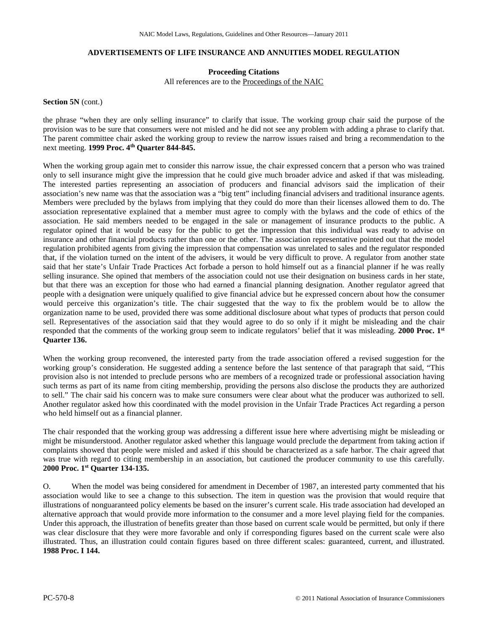### **Proceeding Citations**

All references are to the Proceedings of the NAIC

#### **Section 5N** (cont.)

the phrase "when they are only selling insurance" to clarify that issue. The working group chair said the purpose of the provision was to be sure that consumers were not misled and he did not see any problem with adding a phrase to clarify that. The parent committee chair asked the working group to review the narrow issues raised and bring a recommendation to the next meeting. **1999 Proc. 4th Quarter 844-845.**

When the working group again met to consider this narrow issue, the chair expressed concern that a person who was trained only to sell insurance might give the impression that he could give much broader advice and asked if that was misleading. The interested parties representing an association of producers and financial advisors said the implication of their association's new name was that the association was a "big tent" including financial advisers and traditional insurance agents. Members were precluded by the bylaws from implying that they could do more than their licenses allowed them to do. The association representative explained that a member must agree to comply with the bylaws and the code of ethics of the association. He said members needed to be engaged in the sale or management of insurance products to the public. A regulator opined that it would be easy for the public to get the impression that this individual was ready to advise on insurance and other financial products rather than one or the other. The association representative pointed out that the model regulation prohibited agents from giving the impression that compensation was unrelated to sales and the regulator responded that, if the violation turned on the intent of the advisers, it would be very difficult to prove. A regulator from another state said that her state's Unfair Trade Practices Act forbade a person to hold himself out as a financial planner if he was really selling insurance. She opined that members of the association could not use their designation on business cards in her state, but that there was an exception for those who had earned a financial planning designation. Another regulator agreed that people with a designation were uniquely qualified to give financial advice but he expressed concern about how the consumer would perceive this organization's title. The chair suggested that the way to fix the problem would be to allow the organization name to be used, provided there was some additional disclosure about what types of products that person could sell. Representatives of the association said that they would agree to do so only if it might be misleading and the chair responded that the comments of the working group seem to indicate regulators' belief that it was misleading. **2000 Proc. 1st Quarter 136.**

When the working group reconvened, the interested party from the trade association offered a revised suggestion for the working group's consideration. He suggested adding a sentence before the last sentence of that paragraph that said, "This provision also is not intended to preclude persons who are members of a recognized trade or professional association having such terms as part of its name from citing membership, providing the persons also disclose the products they are authorized to sell." The chair said his concern was to make sure consumers were clear about what the producer was authorized to sell. Another regulator asked how this coordinated with the model provision in the Unfair Trade Practices Act regarding a person who held himself out as a financial planner.

The chair responded that the working group was addressing a different issue here where advertising might be misleading or might be misunderstood. Another regulator asked whether this language would preclude the department from taking action if complaints showed that people were misled and asked if this should be characterized as a safe harbor. The chair agreed that was true with regard to citing membership in an association, but cautioned the producer community to use this carefully. **2000 Proc. 1st Quarter 134-135.** 

O. When the model was being considered for amendment in December of 1987, an interested party commented that his association would like to see a change to this subsection. The item in question was the provision that would require that illustrations of nonguaranteed policy elements be based on the insurer's current scale. His trade association had developed an alternative approach that would provide more information to the consumer and a more level playing field for the companies. Under this approach, the illustration of benefits greater than those based on current scale would be permitted, but only if there was clear disclosure that they were more favorable and only if corresponding figures based on the current scale were also illustrated. Thus, an illustration could contain figures based on three different scales: guaranteed, current, and illustrated. **1988 Proc. I 144.**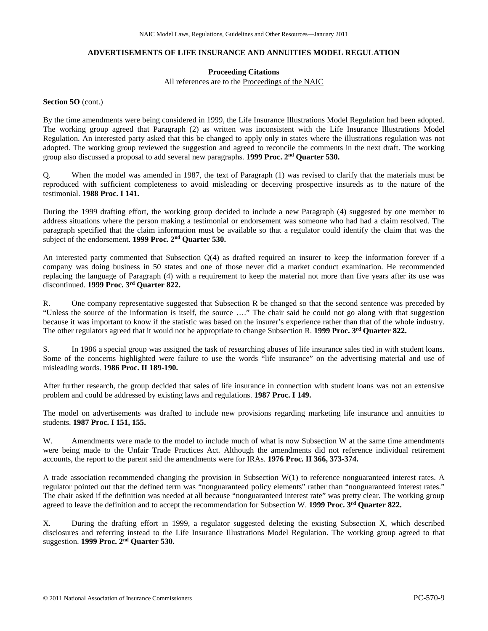#### **Proceeding Citations**

All references are to the Proceedings of the NAIC

#### **Section 5O** (cont.)

By the time amendments were being considered in 1999, the Life Insurance Illustrations Model Regulation had been adopted. The working group agreed that Paragraph (2) as written was inconsistent with the Life Insurance Illustrations Model Regulation. An interested party asked that this be changed to apply only in states where the illustrations regulation was not adopted. The working group reviewed the suggestion and agreed to reconcile the comments in the next draft. The working group also discussed a proposal to add several new paragraphs. **1999 Proc. 2nd Quarter 530.**

Q. When the model was amended in 1987, the text of Paragraph (1) was revised to clarify that the materials must be reproduced with sufficient completeness to avoid misleading or deceiving prospective insureds as to the nature of the testimonial. **1988 Proc. I 141.**

During the 1999 drafting effort, the working group decided to include a new Paragraph (4) suggested by one member to address situations where the person making a testimonial or endorsement was someone who had had a claim resolved. The paragraph specified that the claim information must be available so that a regulator could identify the claim that was the subject of the endorsement. **1999 Proc. 2nd Quarter 530.**

An interested party commented that Subsection Q(4) as drafted required an insurer to keep the information forever if a company was doing business in 50 states and one of those never did a market conduct examination. He recommended replacing the language of Paragraph (4) with a requirement to keep the material not more than five years after its use was discontinued. **1999 Proc. 3rd Quarter 822.**

R. One company representative suggested that Subsection R be changed so that the second sentence was preceded by "Unless the source of the information is itself, the source …." The chair said he could not go along with that suggestion because it was important to know if the statistic was based on the insurer's experience rather than that of the whole industry. The other regulators agreed that it would not be appropriate to change Subsection R. **1999 Proc. 3rd Quarter 822.**

S. In 1986 a special group was assigned the task of researching abuses of life insurance sales tied in with student loans. Some of the concerns highlighted were failure to use the words "life insurance" on the advertising material and use of misleading words. **1986 Proc. II 189-190.**

After further research, the group decided that sales of life insurance in connection with student loans was not an extensive problem and could be addressed by existing laws and regulations. **1987 Proc. I 149.**

The model on advertisements was drafted to include new provisions regarding marketing life insurance and annuities to students. **1987 Proc. I 151, 155.**

W. Amendments were made to the model to include much of what is now Subsection W at the same time amendments were being made to the Unfair Trade Practices Act. Although the amendments did not reference individual retirement accounts, the report to the parent said the amendments were for IRAs. **1976 Proc. II 366, 373-374.**

A trade association recommended changing the provision in Subsection W(1) to reference nonguaranteed interest rates. A regulator pointed out that the defined term was "nonguaranteed policy elements" rather than "nonguaranteed interest rates." The chair asked if the definition was needed at all because "nonguaranteed interest rate" was pretty clear. The working group agreed to leave the definition and to accept the recommendation for Subsection W. **1999 Proc. 3rd Quarter 822.**

X. During the drafting effort in 1999, a regulator suggested deleting the existing Subsection X, which described disclosures and referring instead to the Life Insurance Illustrations Model Regulation. The working group agreed to that suggestion. **1999 Proc. 2nd Quarter 530.**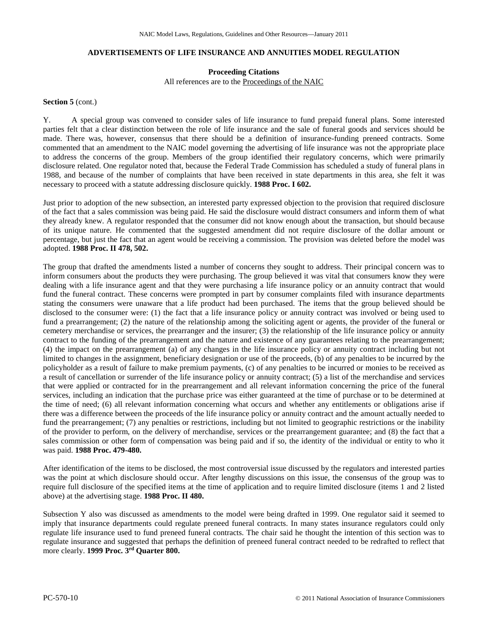#### **Proceeding Citations**

All references are to the Proceedings of the NAIC

#### **Section 5** (cont.)

Y. A special group was convened to consider sales of life insurance to fund prepaid funeral plans. Some interested parties felt that a clear distinction between the role of life insurance and the sale of funeral goods and services should be made. There was, however, consensus that there should be a definition of insurance-funding preneed contracts. Some commented that an amendment to the NAIC model governing the advertising of life insurance was not the appropriate place to address the concerns of the group. Members of the group identified their regulatory concerns, which were primarily disclosure related. One regulator noted that, because the Federal Trade Commission has scheduled a study of funeral plans in 1988, and because of the number of complaints that have been received in state departments in this area, she felt it was necessary to proceed with a statute addressing disclosure quickly. **1988 Proc. I 602.**

Just prior to adoption of the new subsection, an interested party expressed objection to the provision that required disclosure of the fact that a sales commission was being paid. He said the disclosure would distract consumers and inform them of what they already knew. A regulator responded that the consumer did not know enough about the transaction, but should because of its unique nature. He commented that the suggested amendment did not require disclosure of the dollar amount or percentage, but just the fact that an agent would be receiving a commission. The provision was deleted before the model was adopted. **1988 Proc. II 478, 502.**

The group that drafted the amendments listed a number of concerns they sought to address. Their principal concern was to inform consumers about the products they were purchasing. The group believed it was vital that consumers know they were dealing with a life insurance agent and that they were purchasing a life insurance policy or an annuity contract that would fund the funeral contract. These concerns were prompted in part by consumer complaints filed with insurance departments stating the consumers were unaware that a life product had been purchased. The items that the group believed should be disclosed to the consumer were: (1) the fact that a life insurance policy or annuity contract was involved or being used to fund a prearrangement; (2) the nature of the relationship among the soliciting agent or agents, the provider of the funeral or cemetery merchandise or services, the prearranger and the insurer; (3) the relationship of the life insurance policy or annuity contract to the funding of the prearrangement and the nature and existence of any guarantees relating to the prearrangement; (4) the impact on the prearrangement (a) of any changes in the life insurance policy or annuity contract including but not limited to changes in the assignment, beneficiary designation or use of the proceeds, (b) of any penalties to be incurred by the policyholder as a result of failure to make premium payments, (c) of any penalties to be incurred or monies to be received as a result of cancellation or surrender of the life insurance policy or annuity contract; (5) a list of the merchandise and services that were applied or contracted for in the prearrangement and all relevant information concerning the price of the funeral services, including an indication that the purchase price was either guaranteed at the time of purchase or to be determined at the time of need; (6) all relevant information concerning what occurs and whether any entitlements or obligations arise if there was a difference between the proceeds of the life insurance policy or annuity contract and the amount actually needed to fund the prearrangement; (7) any penalties or restrictions, including but not limited to geographic restrictions or the inability of the provider to perform, on the delivery of merchandise, services or the prearrangement guarantee; and (8) the fact that a sales commission or other form of compensation was being paid and if so, the identity of the individual or entity to who it was paid. **1988 Proc. 479-480.**

After identification of the items to be disclosed, the most controversial issue discussed by the regulators and interested parties was the point at which disclosure should occur. After lengthy discussions on this issue, the consensus of the group was to require full disclosure of the specified items at the time of application and to require limited disclosure (items 1 and 2 listed above) at the advertising stage. **1988 Proc. II 480.**

Subsection Y also was discussed as amendments to the model were being drafted in 1999. One regulator said it seemed to imply that insurance departments could regulate preneed funeral contracts. In many states insurance regulators could only regulate life insurance used to fund preneed funeral contracts. The chair said he thought the intention of this section was to regulate insurance and suggested that perhaps the definition of preneed funeral contract needed to be redrafted to reflect that more clearly. **1999 Proc. 3rd Quarter 800.**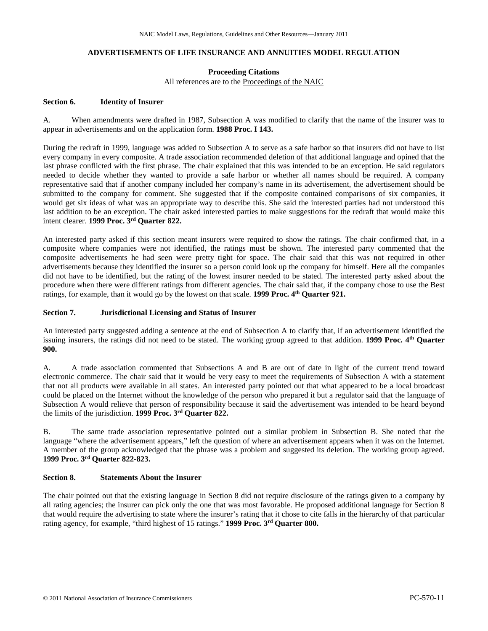### **Proceeding Citations**

All references are to the Proceedings of the NAIC

#### **Section 6. Identity of Insurer**

A. When amendments were drafted in 1987, Subsection A was modified to clarify that the name of the insurer was to appear in advertisements and on the application form. **1988 Proc. I 143.**

During the redraft in 1999, language was added to Subsection A to serve as a safe harbor so that insurers did not have to list every company in every composite. A trade association recommended deletion of that additional language and opined that the last phrase conflicted with the first phrase. The chair explained that this was intended to be an exception. He said regulators needed to decide whether they wanted to provide a safe harbor or whether all names should be required. A company representative said that if another company included her company's name in its advertisement, the advertisement should be submitted to the company for comment. She suggested that if the composite contained comparisons of six companies, it would get six ideas of what was an appropriate way to describe this. She said the interested parties had not understood this last addition to be an exception. The chair asked interested parties to make suggestions for the redraft that would make this intent clearer. **1999 Proc. 3rd Quarter 822.**

An interested party asked if this section meant insurers were required to show the ratings. The chair confirmed that, in a composite where companies were not identified, the ratings must be shown. The interested party commented that the composite advertisements he had seen were pretty tight for space. The chair said that this was not required in other advertisements because they identified the insurer so a person could look up the company for himself. Here all the companies did not have to be identified, but the rating of the lowest insurer needed to be stated. The interested party asked about the procedure when there were different ratings from different agencies. The chair said that, if the company chose to use the Best ratings, for example, than it would go by the lowest on that scale. **1999 Proc. 4th Quarter 921.**

#### **Section 7. Jurisdictional Licensing and Status of Insurer**

An interested party suggested adding a sentence at the end of Subsection A to clarify that, if an advertisement identified the issuing insurers, the ratings did not need to be stated. The working group agreed to that addition. **1999 Proc. 4th Quarter 900.**

A. A trade association commented that Subsections A and B are out of date in light of the current trend toward electronic commerce. The chair said that it would be very easy to meet the requirements of Subsection A with a statement that not all products were available in all states. An interested party pointed out that what appeared to be a local broadcast could be placed on the Internet without the knowledge of the person who prepared it but a regulator said that the language of Subsection A would relieve that person of responsibility because it said the advertisement was intended to be heard beyond the limits of the jurisdiction. **1999 Proc. 3rd Quarter 822.**

B. The same trade association representative pointed out a similar problem in Subsection B. She noted that the language "where the advertisement appears," left the question of where an advertisement appears when it was on the Internet. A member of the group acknowledged that the phrase was a problem and suggested its deletion. The working group agreed. **1999 Proc. 3rd Quarter 822-823.**

## **Section 8. Statements About the Insurer**

The chair pointed out that the existing language in Section 8 did not require disclosure of the ratings given to a company by all rating agencies; the insurer can pick only the one that was most favorable. He proposed additional language for Section 8 that would require the advertising to state where the insurer's rating that it chose to cite falls in the hierarchy of that particular rating agency, for example, "third highest of 15 ratings." **1999 Proc. 3rd Quarter 800.**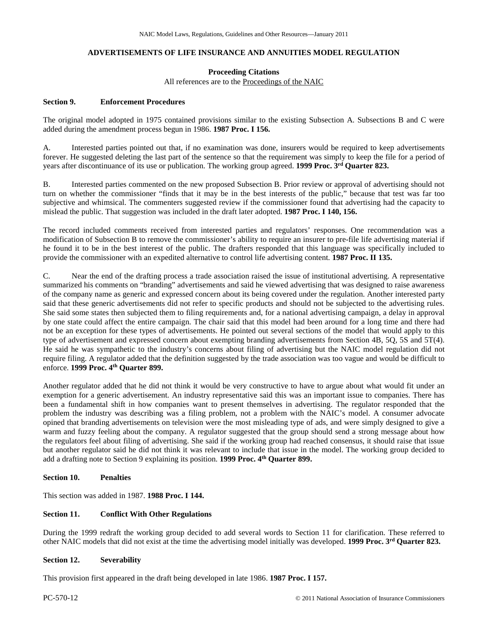## **Proceeding Citations**

All references are to the Proceedings of the NAIC

### **Section 9. Enforcement Procedures**

The original model adopted in 1975 contained provisions similar to the existing Subsection A. Subsections B and C were added during the amendment process begun in 1986. **1987 Proc. I 156.**

A. Interested parties pointed out that, if no examination was done, insurers would be required to keep advertisements forever. He suggested deleting the last part of the sentence so that the requirement was simply to keep the file for a period of years after discontinuance of its use or publication. The working group agreed. **1999 Proc. 3rd Quarter 823.**

B. Interested parties commented on the new proposed Subsection B. Prior review or approval of advertising should not turn on whether the commissioner "finds that it may be in the best interests of the public," because that test was far too subjective and whimsical. The commenters suggested review if the commissioner found that advertising had the capacity to mislead the public. That suggestion was included in the draft later adopted. **1987 Proc. I 140, 156.**

The record included comments received from interested parties and regulators' responses. One recommendation was a modification of Subsection B to remove the commissioner's ability to require an insurer to pre-file life advertising material if he found it to be in the best interest of the public. The drafters responded that this language was specifically included to provide the commissioner with an expedited alternative to control life advertising content. **1987 Proc. II 135.**

C. Near the end of the drafting process a trade association raised the issue of institutional advertising. A representative summarized his comments on "branding" advertisements and said he viewed advertising that was designed to raise awareness of the company name as generic and expressed concern about its being covered under the regulation. Another interested party said that these generic advertisements did not refer to specific products and should not be subjected to the advertising rules. She said some states then subjected them to filing requirements and, for a national advertising campaign, a delay in approval by one state could affect the entire campaign. The chair said that this model had been around for a long time and there had not be an exception for these types of advertisements. He pointed out several sections of the model that would apply to this type of advertisement and expressed concern about exempting branding advertisements from Section 4B, 5Q, 5S and 5T(4). He said he was sympathetic to the industry's concerns about filing of advertising but the NAIC model regulation did not require filing. A regulator added that the definition suggested by the trade association was too vague and would be difficult to enforce. **1999 Proc. 4th Quarter 899.**

Another regulator added that he did not think it would be very constructive to have to argue about what would fit under an exemption for a generic advertisement. An industry representative said this was an important issue to companies. There has been a fundamental shift in how companies want to present themselves in advertising. The regulator responded that the problem the industry was describing was a filing problem, not a problem with the NAIC's model. A consumer advocate opined that branding advertisements on television were the most misleading type of ads, and were simply designed to give a warm and fuzzy feeling about the company. A regulator suggested that the group should send a strong message about how the regulators feel about filing of advertising. She said if the working group had reached consensus, it should raise that issue but another regulator said he did not think it was relevant to include that issue in the model. The working group decided to add a drafting note to Section 9 explaining its position. **1999 Proc. 4th Quarter 899.**

#### **Section 10. Penalties**

This section was added in 1987. **1988 Proc. I 144.**

## **Section 11. Conflict With Other Regulations**

During the 1999 redraft the working group decided to add several words to Section 11 for clarification. These referred to other NAIC models that did not exist at the time the advertising model initially was developed. **1999 Proc. 3rd Quarter 823.**

#### **Section 12. Severability**

This provision first appeared in the draft being developed in late 1986. **1987 Proc. I 157.**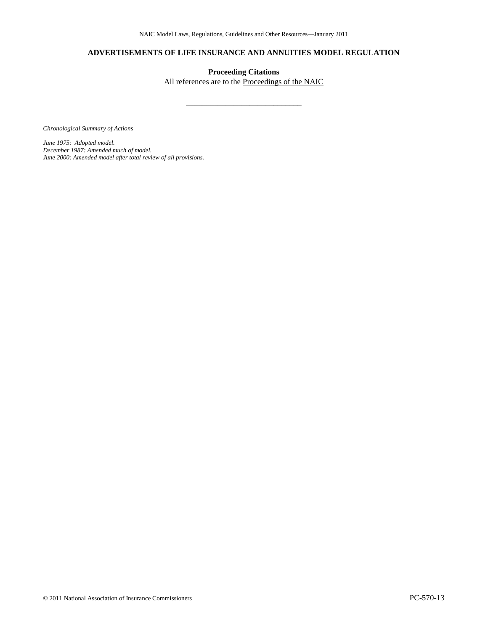**Proceeding Citations**

All references are to the Proceedings of the NAIC

\_\_\_\_\_\_\_\_\_\_\_\_\_\_\_\_\_\_\_\_\_\_\_\_\_\_\_\_\_

*Chronological Summary of Actions*

*June 1975: Adopted model. December 1987: Amended much of model. June 2000: Amended model after total review of all provisions.*